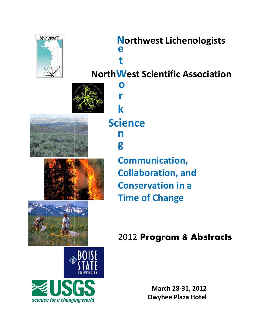

# **North e t hwest Lichenologists**

**NorthWest Scientific Association** 



**r**

**k**

**o**





**Sc cienc ce n g Communication, Collaboration, and conservation** in a **Time e of Ch hange e**

# 2012 Program & Abstracts



**Ma arch 28‐ 31, 201 12 Owyhee Plaza Hotel**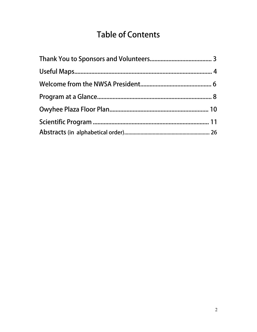# **Table of Contents**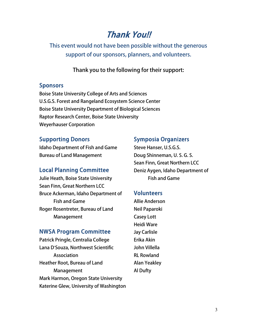# Thank You!!

This event would not have been possible without the generous support of our sponsors, planners, and volunteers.

Thank you to the following for their support:

### **Sponsors**

Boise State University College of Arts and Sciences U.S.G.S. Forest and Rangeland Ecosystem Science Center Boise State University Department of Biological Sciences Raptor Research Center, Boise State University Weyerhauser Corporation

### Supporting Donors

Idaho Department of Fish and Game Bureau of Land Management

### Local Planning Committee

Julie Heath, Boise State University Sean Finn, Great Northern LCC Bruce Ackerman, Idaho Department of Fish and Game Roger Rosentreter, Bureau of Land Management

### NWSA Program Committee

Patrick Pringle, Centralia College Lana D'Souza, Northwest Scientific Association Heather Root, Bureau of Land Management Mark Harmon, Oregon State University Katerine Glew, University of Washington

### Symposia Organizers

Steve Hanser, U.S.G.S. Doug Shinneman, U. S. G. S. Sean Finn, Great Northern LCC Deniz Aygen, Idaho Department of Fish and Game

### **Volunteers**

Allie Anderson Neil Paparoki Casey Lott Heidi Ware Jay Carlisle Erika Akin John Villella RL Rowland Alan Yeakley Al Dufty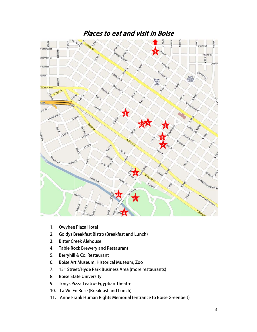

- 1. Owyhee Plaza Hotel
- 2. Goldys Breakfast Bistro (Breakfast and Lunch)
- 3. Bitter Creek Alehouse
- 4. Table Rock Brewery and Restaurant
- 5. Berryhill l & Co. Rest aurant
- 6. Boise Art Museum, Historical Museum, Zoo
- 7. 13<sup>th</sup> Street/Hyde Park Business Area (more restaurants)
- 8. Boise State University
- 9. Tonys Pizza Teatro- Egyptian Theatre
- 10. La Vie En Rose (Breakfast and Lunch)
- 11. Anne Frank Human Rights Memorial (entrance to Boise Greenbelt)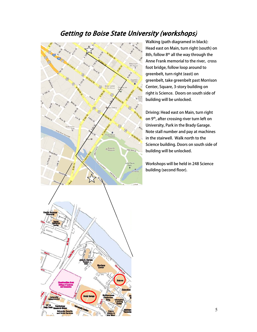# Getting to Boise State University (workshops)



Walking (path diagramed in black): Head east on Main, turn right (south) on 8th, follow  $8^\text{th}$  all the way through the Anne Frank memorial to the river, cross foot brid dge, follow l oop around to greenbelt, turn right (east) on greenbelt, take greenbelt past Morrison Center, Square, 3-st ory building g on right is Science. Doors on south side of building will be unlocked.

Driving: Head east on Main, turn right on 9th, after crossing river turn left on University, Park in the Brady Garage. Note sta all number a nd pay at m achines in the stairwell. Walk north to the Science building. Do oors on sout h side of building will be unlocked.

Workshops will be held in 248 Science building (second floor).

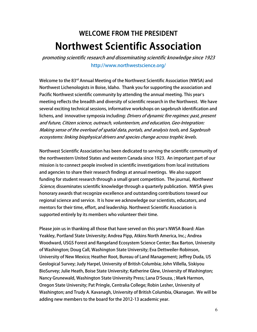# WELCOME FROM THE PRESIDENT Northwest Scientific Association

promoting scientific research and disseminating scientific knowledge since 1923 http://www.northwestscience.org/

Welcome to the 83<sup>rd</sup> Annual Meeting of the Northwest Scientific Association (NWSA) and Northwest Lichenologists in Boise, Idaho. Thank you for supporting the association and Pacific Northwest scientific community by attending the annual meeting. This year's meeting reflects the breadth and diversity of scientific research in the Northwest. We have several exciting technical sessions, informative workshops on sagebrush identification and lichens, and innovative symposia including: *Drivers of dynamic fire regimes: past, present* and future, Citizen science, outreach, volunteerism, and education, Geo-Integration: Making sense of the overload of spatial data, portals, and analysis tools, and Sagebrush ecosystems: linking biophysical drivers and species change across trophic levels.

Northwest Scientific Association has been dedicated to serving the scientific community of the northwestern United States and western Canada since 1923. An important part of our mission is to connect people involved in scientific investigations from local institutions and agencies to share their research findings at annual meetings. We also support funding for student research through a small grant competition. The journal, *Northwest* Science, disseminates scientific knowledge through a quarterly publication. NWSA gives honorary awards that recognize excellence and outstanding contributions toward our regional science and service. It is how we acknowledge our scientists, educators, and mentors for their time, effort, and leadership. Northwest Scientific Association is supported entirely by its members who volunteer their time.

Please join us in thanking all those that have served on this year's NWSA Board: Alan Yeakley, Portland State University; Andrea Pipp, Atkins North America, Inc.; Andrea Woodward, USGS Forest and Rangeland Ecosystem Science Center; Bax Barton, University of Washington; Doug Call, Washington State University; Eva Dettweiler-Robinson, University of New Mexico; Heather Root, Bureau of Land Management; Jeffrey Duda, US Geological Survey; Judy Harpel, University of British Columbia; John Villella, Siskiyou BioSurvey; Julie Heath, Boise State University; Katherine Glew, University of Washington; Nancy Grunewald, Washington State University Press; Lana D'Souza, ; Mark Harmon, Oregon State University; Pat Pringle, Centralia College; Robin Lesher, University of Washington; and Trudy A. Kavanagh, University of British Columbia, Okanagan. We will be adding new members to the board for the 2012-13 academic year.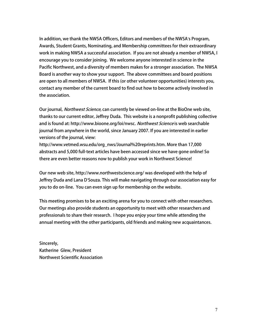In addition, we thank the NWSA Officers, Editors and members of the NWSA's Program, Awards, Student Grants, Nominating, and Membership committees for their extraordinary work in making NWSA a successful association. If you are not already a member of NWSA, I encourage you to consider joining. We welcome anyone interested in science in the Pacific Northwest, and a diversity of members makes for a stronger association. The NWSA Board is another way to show your support. The above committees and board positions are open to all members of NWSA. If this (or other volunteer opportunities) interests you, contact any member of the current board to find out how to become actively involved in the association.

Our journal, *Northwest Science*, can currently be viewed on-line at the BioOne web site, thanks to our current editor, Jeffrey Duda. This website is a nonprofit publishing collective and is found at: http://www.bioone.org/loi/nwsc. Northwest Science is web searchable journal from anywhere in the world, since January 2007. If you are interested in earlier versions of the journal, view:

http://www.vetmed.wsu.edu/org\_nws/Journal%20reprints.htm. More than 17,000 abstracts and 5,000 full-text articles have been accessed since we have gone online! So there are even better reasons now to publish your work in Northwest Science!

Our new web site, http://www.northwestscience.org/ was developed with the help of Jeffrey Duda and Lana D'Souza. This will make navigating through our association easy for you to do on-line. You can even sign up for membership on the website.

This meeting promises to be an exciting arena for you to connect with other researchers. Our meetings also provide students an opportunity to meet with other researchers and professionals to share their research. I hope you enjoy your time while attending the annual meeting with the other participants, old friends and making new acquaintances.

Sincerely, Katherine Glew, President Northwest Scientific Association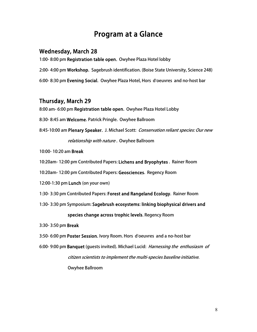# Program at a Glance

### Wednesday, March 28

1:00- 8:00 pm Registration table open. Owyhee Plaza Hotel lobby 2:00- 4:00 pm Workshop. Sagebrush identification. (Boise State University, Science 248) 6:00- 8:30 pm Evening Social. Owyhee Plaza Hotel, Hors d'oeuvres and no-host bar

### Thursday, March 29

8:00 am- 6:00 pm Registration table open. Owyhee Plaza Hotel Lobby

- 8:30- 8:45 am Welcome. Patrick Pringle. Owyhee Ballroom
- 8:45-10:00 am Plenary Speaker. J. Michael Scott: Conservation reliant species: Our new relationship with nature. Owyhee Ballroom
- 10:00- 10:20 am Break
- 10:20am- 12:00 pm Contributed Papers: Lichens and Bryophytes . Rainer Room
- 10:20am- 12:00 pm Contributed Papers: Geosciences. Regency Room
- 12:00-1:30 pm Lunch (on your own)
- 1:30- 3:30 pm Contributed Papers: Forest and Rangeland Ecology. Rainer Room
- 1:30- 3:30 pm Symposium: Sagebrush ecosystems: linking biophysical drivers and

#### species change across trophic levels. Regency Room

- 3:30- 3:50 pm Break
- 3:50- 6:00 pm Poster Session. Ivory Room. Hors d'oeuvres and a no-host bar
- 6:00- 9:00 pm Banquet (guests invited). Michael Lucid: Harnessing the enthusiasm of citizen scientists to implement the multi-species baseline initiative. Owyhee Ballroom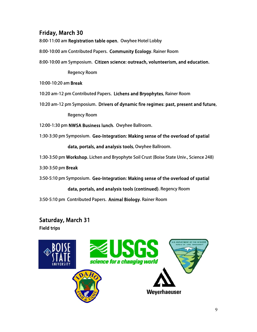## Friday, March 30

8:00-11:00 am **Registration table open.** Owyhee Hotel Lobby

- 8:00-10:00 am Contributed Papers. **Community Ecology**. Rainer Room
- 8:00-10:00 am Symposium. Citizen science: outreach, volunteerism, and education.

Reg gency Room

10:00-10:20 am **Break** 

- Regency Room<br>10:00-10:20 am **Break**<br>10:20 am-12 pm Contributed Papers**. Lichens and Bryophytes**, Rainer Room
- 10:20 am-12 pm Symposium. Drivers of dynamic fire regimes: past, present and future,

Regency Room

- 12:00-1:30 pm **NWSA Business lunch**. Owyhee Ballroom.
- 1:30-3:30 pm Symposium. Geo-Integration: Making sense of the overload of spatial

dat a, portals, and analys sis tools, O wyhee Ball room.

1:30-3:50 pm **Workshop.** Lichen and Bryophyte Soil Crust (Boise State Univ., Science 248)

3:30-3:50 pm **Break** 

3:50-5:10 pm Symposium. Geo-Integration: Making sense of the overload of spatial

#### data, portals, and analysis tools (continued). Regency Room

3:50-5:10 pm Contributed Papers. Animal Biology. Rainer Room

## Saturday, March 31 Field tr rips

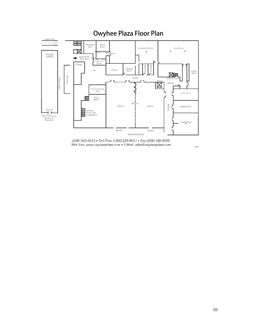



 $9/00$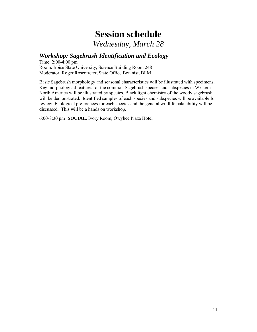# **Session schedule**

*Wednesday, March 28* 

### *Workshop: Sagebrush Identification and Ecology*

Time: 2:00-4:00 pm Room: Boise State University, Science Building Room 248 Moderator: Roger Rosentreter, State Office Botanist, BLM

Basic Sagebrush morphology and seasonal characteristics will be illustrated with specimens. Key morphological features for the common Sagebrush species and subspecies in Western North America will be illustrated by species. Black light chemistry of the woody sagebrush will be demonstrated. Identified samples of each species and subspecies will be available for review. Ecological preferences for each species and the general wildlife palatability will be discussed. This will be a hands on workshop.

6:00-8:30 pm **SOCIAL.** Ivory Room, Owyhee Plaza Hotel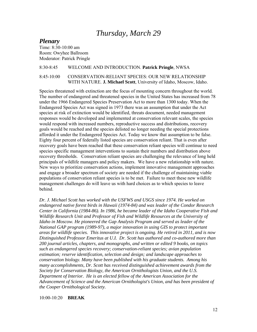# *Thursday, March 29*

#### *Plenary*

Time: 8:30-10:00 am Room: Owyhee Ballroom Moderator: Patrick Pringle

#### 8:30-8:45 WELCOME AND INTRODUCTION. **Patrick Pringle**, NWSA

#### 8:45-10:00 CONSERVATION-RELIANT SPECIES: OUR NEW RELATIONSHIP WITH NATURE. **J. Michael Scott**, University of Idaho, Moscow, Idaho.

Species threatened with extinction are the focus of mounting concern throughout the world. The number of endangered and threatened species in the United States has increased from 78 under the 1966 Endangered Species Preservation Act to more than 1300 today. When the Endangered Species Act was signed in 1973 there was an assumption that under the Act species at risk of extinction would be identified, threats document, needed management responses would be developed and implemented at conservation relevant scales, the species would respond with increased numbers, reproductive success and distributions, recovery goals would be reached and the species delisted no longer needing the special protections afforded it under the Endangered Species Act. Today we know that assumption to be false. Eighty four percent of federally listed species are conservation reliant. That is even after recovery goals have been reached that these conservation reliant species will continue to need species specific management interventions to sustain their numbers and distribution above recovery thresholds. Conservation reliant species are challenging the relevance of long held principals of wildlife managers and policy makers. We have a new relationship with nature. New ways to prioritize conservation actions, implement innovative management approaches and engage a broader spectrum of society are needed if the challenge of maintaining viable populations of conservation reliant species is to be met. Failure to meet these new wildlife management challenges do will leave us with hard choices as to which species to leave behind.

*Dr. J. Michael Scott has worked with the USFWS and USGS since 1974. He worked on endangered native forest birds in Hawaii (1974-84) and was leader of the Condor Research Center in California (1984-86). In 1986, he became leader of the Idaho Cooperative Fish and Wildlife Research Unit and Professor of Fish and Wildlife Resources at the University of Idaho in Moscow. He pioneered the Gap Analysis Program and served as leader of the National GAP program (1989-97), a major innovation in using GIS to protect important areas for wildlife species. This innovative project is ongoing. He retired in 2011, and is now Distinguished Professor Emeritus at U.I. Dr. Scott has authored and co-authored more than 200 journal articles, chapters, and monographs, and written or edited 9 books, on topics such as endangered species recovery; conservation-reliant species; avian population estimation; reserve identification, selection and design; and landscape approaches to conservation biology. Many have been published with his graduate students. Among his many accomplishments, Dr. Scott has received distinguished achievement awards from the Society for Conservation Biology, the American Ornithologists Union, and the U.S. Department of Interior. He is an elected fellow of the American Association for the Advancement of Science and the American Ornithologist's Union, and has been president of the Cooper Ornithological Society.* 

#### 10:00-10:20 **BREAK**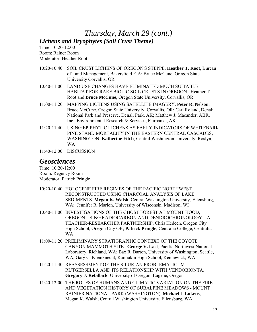# *Thursday, March 29 (cont.) Lichens and Bryophytes (Soil Crust Theme)*

Time: 10:20-12:00 Room: Rainer Room Moderator: Heather Root

- 10:20-10:40 SOIL CRUST LICHENS OF OREGON'S STEPPE. **Heather T. Root**, Bureau of Land Management, Bakersfield, CA; Bruce McCune, Oregon State University Corvallis, OR
- 10:40-11:00 LAND USE CHANGES HAVE ELIMINATED MUCH SUITABLE HABITAT FOR RARE BIOTIC SOIL CRUSTS IN OREGON. Heather T. Root and **Bruce McCune**, Oregon State University, Corvallis, OR
- 11:00-11:20 MAPPING LICHENS USING SATELLITE IMAGERY. **Peter R. Nelson**, Bruce McCune, Oregon State University, Corvallis, OR; Carl Roland, Denali National Park and Preserve, Denali Park, AK; Matthew J. Macander, ABR, Inc., Environmental Research & Services, Fairbanks, AK
- 11:20-11:40 USING EPIPHYTIC LICHENS AS EARLY INDICATORS OF WHITEBARK PINE STAND MORTALITY IN THE EASTERN CENTRAL CASCADES, WASHINGTON. **Katherine Fitch**, Central Washington University, Roslyn, WA
- 11:40-12:00 DISCUSSION

## *Geosciences*

Time: 10:20-12:00 Room: Regency Room Moderator: Patrick Pringle

- 10:20-10:40 HOLOCENE FIRE REGIMES OF THE PACIFIC NORTHWEST RECONSTRUCTED USING CHARCOAL ANALYSIS OF LAKE SEDIMENTS. **Megan K. Walsh**, Central Washington University, Ellensburg, WA; Jennifer R. Marlon, University of Wisconsin, Madison, WI
- 10:40-11:00 INVESTIGATIONS OF THE GHOST FOREST AT MOUNT HOOD, OREGON USING RADIOCARBON AND DENDROCHRONOLOGY—A TEACHER-RESEARCHER PARTNERSHIP. Chris Hedeen, Oregon City High School, Oregon City OR; **Patrick Pringle**, Centralia College, Centralia WA
- 11:00-11:20 PRELIMINARY STRATIGRAPHIC CONTEXT OF THE COYOTE CANYON MAMMOTH SITE. **George V. Last**, Pacific Northwest National Laboratory, Richland, WA; Bax R. Barton, University of Washington, Seattle, WA; Gary C. Kleinknecht, Kamiakin High School, Kennewick, WA
- 11:20-11:40 REASSESSMENT OF THE SILURIAN PROBLEMATICUM RUTGERSELLA AND ITS RELATIONSHIP WITH VENDOBIONTA. **Gregory J. Retallack**, University of Oregon, Eugene, Oregon
- 11:40-12:00 THE ROLES OF HUMANS AND CLIMATIC VARIATION ON THE FIRE AND VEGETATION HISTORY OF SUBALPINE MEADOWS - MOUNT RAINIER NATIONAL PARK (WASHINGTON). **Michael L Lukens**, Megan K. Walsh, Central Washington University, Ellensburg, WA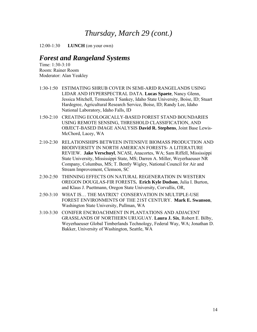12:00-1:30 **LUNCH** (on your own)

### *Forest and Rangeland Systems*

Time: 1:30-3:10 Room: Rainer Room Moderator: Alan Yeakley

- 1:30-1:50 ESTIMATING SHRUB COVER IN SEMI-ARID RANGELANDS USING LIDAR AND HYPERSPECTRAL DATA. **Lucas Spaete**, Nancy Glenn, Jessica Mitchell, Temuulen T Sankey, Idaho State University, Boise, ID; Stuart Hardegree, Agricultural Research Service, Boise, ID; Randy Lee, Idaho National Laboratory, Idaho Falls, ID
- 1:50-2:10 CREATING ECOLOGICALLY-BASED FOREST STAND BOUNDARIES USING REMOTE SENSING, THRESHOLD CLASSIFICATION, AND OBJECT-BASED IMAGE ANALYSIS **David R. Stephens**, Joint Base Lewis-McChord, Lacey, WA
- 2:10-2:30 RELATIONSHIPS BETWEEN INTENSIVE BIOMASS PRODUCTION AND BIODIVERSITY IN NORTH AMERICAN FORESTS- A LITERATURE REVIEW. **Jake Verschuyl**, NCASI, Anacortes, WA; Sam Riffell, Mississippi State University, Mississippi State, MS; Darren A. Miller, Weyerhaeuser NR Company, Columbus, MS; T. Bently Wigley, National Council for Air and Stream Improvement, Clemson, SC
- 2:30-2:50 THINNING EFFECTS ON NATURAL REGENERATION IN WESTERN OREGON DOUGLAS-FIR FORESTS**. Erich Kyle Dodson**, Julia I. Burton, and Klaus J. Puettmann, Oregon State University, Corvallis, OR,
- 2:50-3:10 WHAT IS… THE MATRIX? CONSERVATION IN MULTIPLE-USE FOREST ENVIRONMENTS OF THE 21ST CENTURY. **Mark E. Swanson**, Washington State University, Pullman, WA
- 3:10-3:30 CONIFER ENCROACHMENT IN PLANTATIONS AND ADJACENT GRASSLANDS OF NORTHERN URUGUAY. **Laura J. Six**, Robert E. Bilby, Weyerhaeuser Global Timberlands Technology, Federal Way, WA; Jonathan D. Bakker, University of Washington, Seattle, WA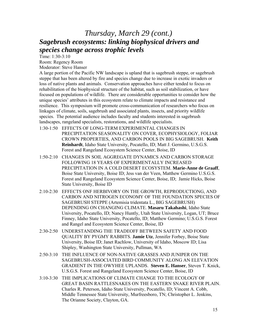# *Thursday, March 29 (cont.) Sagebrush ecosystems: linking biophysical drivers and species change across trophic levels*

Time: 1:30-3:10 Room: Regency Room

Moderator: Steve Hanser

A large portion of the Pacific NW landscape is upland that is sagebrush steppe, or sagebrush steppe that has been altered by fire and species change due to increase in exotic invaders or loss of native plants and animals. Conservation approaches have either tended to focus on rehabilitation of the biophysical structure of the habitat, such as soil stabilization, or have focused on populations of wildlife. There are considerable opportunities to consider how the unique species' attributes in this ecosystem relate to climate impacts and resistance and resilience. This symposium will promote cross-communication of researchers who focus on linkages of climate, soils, sagebrush and associated plants, insects, and priority wildlife species. The potential audience includes faculty and students interested in sagebrush landscapes, rangeland specialists, restorations, and wildlife specialists.

- 1:30-1:50 EFFECTS OF LONG-TERM EXPERIMENTAL CHANGES IN PRECIPITATION SEASONALITY ON COVER, ECOPHYSIOLOGY, FOLIAR CROWN PROPERTIES, AND CARBON POOLS IN BIG SAGEBRUSH. **Keith Reinhardt**, Idaho State University, Pocatello, ID; Matt J. Germino, U.S.G.S. Forest and Rangeland Ecosystem Science Center, Boise, ID
- 1:50-2:10 CHANGES IN SOIL AGGREGATE DYNAMICS AND CARBON STORAGE FOLLOWING 18 YEARS OF EXPERIMENTALLY INCREASED PRECIPITATION IN A COLD DESERT ECOSYSTEM. **Marie-Anne de Graaff**, Boise State University, Boise ID; Jess van der Veen, Matthew Germino U.S.G.S. Forest and Rangeland Ecosystem Science Center, Boise, ID; Jamie Hicks, Boise State University, Boise ID
- 2:10-2:30 EFFECTS ONF HERBIVORY ON THE GROWTH, REPRODUCTIONG, AND CARBON AND NITROGEN ECONOMY OF THE FOUNDATION SPECIES OF SAGEBRUSH STEPPE (Artemisia tridentata L., BIG SAGEBRUSH) DEPENDING ON CHANGING CLIMATE. **Masaru Takahashi**, Idaho State University, Pocatello, ID; Nancy Huntly, Utah State University, Logan, UT; Bruce Finney, Idaho State University, Pocatello, ID; Matthew Germino; U.S.G.S. Forest and Rangel and Ecosystem Science Center, Boise, ID
- 2:30-2:50 UNDERSTANDING THE TRADEOFF BETWEEN SAFETY AND FOOD QUALITY BY PYGMY RABBITS. **Jamie Utz**, Jennifer Forbey, Boise State University, Boise ID; Janet Rachlow, University of Idaho, Moscow ID; Lisa Shipley, Washington State University, Pullman, WA
- 2:50-3:10 THE INFLUENCE OF NON-NATIVE GRASSES AND JUNIPER ON THE SAGEBRUSH-ASSOCIATED BIRD COMMUNITY ALONG AN ELEVATION GRADIENT IN THE OWYHEE UPLANDS. **Steven E. Hanser**, Steven T. Knick, U.S.G.S. Forest and Rangeland Ecosystem Science Center, Boise, ID
- 3:10-3:30 THE IMPLICATIONS OF CLIMATE CHANGE TO THE ECOLOGY OF GREAT BASIN RATTLESNAKES ON THE EASTERN SNAKE RIVER PLAIN. Charles R. Peterson, Idaho State University, Pocatello, ID; Vincent A. Cobb, Middle Tennessee State University, Murfreesboro, TN; Christopher L. Jenkins, The Orianne Society, Clayton, GA.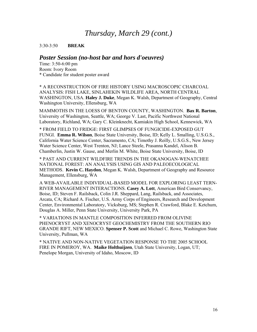#### 3:30-3:50 **BREAK**

#### *Poster Session (no-host bar and hors d'oeuvres)*

Time: 3:50-6:00 pm Room: Ivory Room \* Candidate for student poster award

\* A RECONSTRUCTION OF FIRE HISTORY USING MACROSCOPIC CHARCOAL ANALYSIS: FISH LAKE, SINLAHEKIN WILDLIFE AREA, NORTH CENTRAL WASHINGTON, USA. **Haley J. Duke**, Megan K. Walsh, Department of Geography, Central Washington University, Ellensburg, WA

MAMMOTHS IN THE LOESS OF BENTON COUNTY, WASHINGTON. **Bax R. Barton**, University of Washington, Seattle, WA; George V. Last, Pacific Northwest National Laboratory, Richland, WA; Gary C. Kleinknecht, Kamiakin High School, Kennewick, WA

\* FROM FIELD TO FRIDGE: FIRST GLIMPSES OF FUNGICIDE-EXPOSED GUT FUNGI. **Emma R. Wilson**, Boise State University, Boise, ID; Kelly L. Smalling, U.S.G.S., California Water Science Center, Sacramento, CA; Timothy J. Reilly, U.S.G.S., New Jersey Water Science Center, West Trenton, NJ; Lance Steele, Prasanna Kandel, Alison B. Chamberlin, Justin W. Gause, and Merlin M. White, Boise State University, Boise, ID

\* PAST AND CURRENT WILDFIRE TRENDS IN THE OKANOGAN-WENATCHEE NATIONAL FOREST: AN ANALYSIS USING GIS AND PALEOECOLOGICAL METHODS. **Kevin C. Haydon**, Megan K. Walsh, Department of Geography and Resource Management, Ellensburg, WA

A WEB-AVAILABLE INDIVIDUAL-BASED MODEL FOR EXPLORING LEAST TERN-RIVER MANAGEMENT INTERACTIONS. **Casey A. Lott**, American Bird Conservancy, Boise, ID; Steven F. Railsback, Colin J.R. Sheppard, Lang, Railsback, and Associates, Arcata, CA; Richard A. Fischer, U.S. Army Corps of Engineers, Research and Development Center, Environmental Laboratory, Vicksburg, MS; Stephen R. Crawford, Blake E. Ketchum, Douglas A. Miller, Penn State University, University Park, PA

\* VARIATIONS IN MANTLE COMPOSITION INFERRED FROM OLIVINE PHENOCRYST AND XENOCRYST GEOCHEMISTRY FROM THE SOUTHERN RIO GRANDE RIFT, NEW MEXICO. **Spenser P. Scott** and Michael C. Rowe, Washington State University, Pullman, WA

\* NATIVE AND NON-NATIVE VEGETATION RESPONSE TO THE 2005 SCHOOL FIRE IN POMEROY, WA. **Maike Holthuijzen**, Utah State University, Logan, UT; Penelope Morgan, University of Idaho, Moscow, ID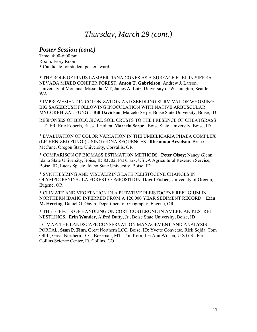#### *Poster Session (cont.)*

Time: 4:00-6:00 pm Room: Ivory Room \* Candidate for student poster award

\* THE ROLE OF PINUS LAMBERTIANA CONES AS A SURFACE FUEL IN SIERRA NEVADA MIXED CONIFER FOREST. **Anton T. Gabrielson**, Andrew J. Larson, University of Montana, Missoula, MT; James A. Lutz, University of Washington, Seattle, WA

\* IMPROVEMENT IN COLONIZATION AND SEEDLING SURVIVAL OF WYOMING BIG SAGEBRUSH FOLLOWING INOCULATION WITH NATIVE ARBUSCULAR MYCORRHIZAL FUNGI. **Bill Davidson**, Marcelo Serpe, Boise State University, Boise, ID

RESPONSES OF BIOLOGICAL SOIL CRUSTS TO THE PRESENCE OF CHEATGRASS LITTER. Eric Roberts, Russell Holten, **Marcelo Serpe**, Boise State University, Boise, ID

\* EVALUATION OF COLOR VARIATION IN THE UMBILICARIA PHAEA COMPLEX (LICHENIZED FUNGI) USING nrDNA SEQUENCES. **Rheannon Arvidson**, Bruce McCune, Oregon State University, Corvallis, OR

\* COMPARISON OF BIOMASS ESTIMATION METHODS. **Peter Olsoy**; Nancy Glenn, Idaho State University, Boise, ID 83702; Pat Clark, USDA Agricultural Research Service, Boise, ID; Lucas Spaete, Idaho State University, Boise, ID

\* SYNTHESIZING AND VISUALIZING LATE PLEISTOCENE CHANGES IN OLYMPIC PENINSULA FOREST COMPOSITION. **David Fisher**, University of Oregon, Eugene, OR.

\* CLIMATE AND VEGETATION IN A PUTATIVE PLEISTOCENE REFUGIUM IN NORTHERN IDAHO INFERRED FROM A 120,000 YEAR SEDIMENT RECORD. **Erin M. Herring**, Daniel G. Gavin, Department of Geography, Eugene, OR

\* THE EFFECTS OF HANDLING ON CORTICOSTERONE IN AMERICAN KESTREL NESTLINGS. **Erin Wonder**, Alfred Dufty, Jr., Boise State University, Boise, ID

LC MAP: THE LANDSCAPE CONSERVATION MANAGEMENT AND ANALYSIS PORTAL. **Sean P. Finn**, Great Northern LCC, Boise, ID; Yvette Converse, Rick Sojda, Tom Olliff, Great Northern LCC, Bozeman, MT; Tim Kern, Lei Ann Wilson, U.S.G.S., Fort Collins Science Center, Ft. Collins, CO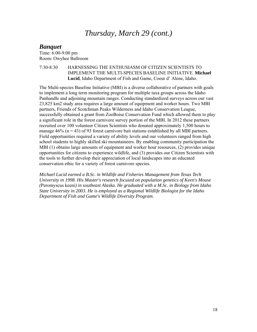### *Banquet*

Time: 6:00-9:00 pm Room: Owyhee Ballroom

7:30-8:30 HARNESSING THE ENTHUSIASM OF CITIZEN SCIENTISTS TO IMPLEMENT THE MULTI-SPECIES BASELINE INITIATIVE. **Michael Lucid**, Idaho Department of Fish and Game, Coeur d' Alene, Idaho.

The Multi-species Baseline Initiative (MBI) is a diverse collaborative of partners with goals to implement a long term monitoring program for multiple taxa groups across the Idaho Panhandle and adjoining mountain ranges. Conducting standardized surveys across our vast 23,825 km2 study area requires a large amount of equipment and worker hours. Two MBI partners, Friends of Scotchman Peaks Wilderness and Idaho Conservation League, successfully obtained a grant from ZooBoise Conservation Fund which allowed them to play a significant role in the forest carnivore survey portion of the MBI. In 2012 these partners recruited over 100 volunteer Citizen Scientists who donated approximately 1,500 hours to manage  $46\%$  (n = 43) of 93 forest carnivore bait stations established by all MBI partners. Field opportunities required a variety of ability levels and our volunteers ranged from high school students to highly skilled ski mountaineers. By enabling community participation the MBI (1) obtains large amounts of equipment and worker hour resources, (2) provides unique opportunities for citizens to experience wildlife, and (3) provides our Citizen Scientists with the tools to further develop their appreciation of local landscapes into an educated conservation ethic for a variety of forest carnivore species.

*Michael Lucid earned a B.Sc. in Wildlife and Fisheries Management from Texas Tech University in 1998. His Master's research focused on population genetics of Keen's Mouse (*Peromyscus keeni*) in southeast Alaska. He graduated with a M.Sc. in Biology from Idaho State University in 2003. He is employed as a Regional Wildlife Biologist for the Idaho Department of Fish and Game's Wildlife Diversity Program.*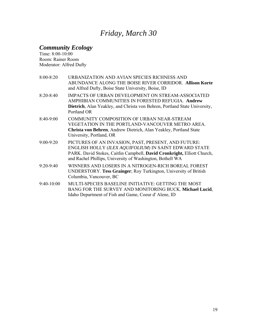# *Friday, March 30*

### *Community Ecology*

Time: 8:00-10:00 Room: Rainer Room Moderator: Alfred Dufty

| $8:00 - 8:20$ | URBANIZATION AND AVIAN SPECIES RICHNESS AND<br>ABUNDANCE ALONG THE BOISE RIVER CORRIDOR. Allison Korte<br>and Alfred Dufty, Boise State University, Boise, ID                                                                                        |
|---------------|------------------------------------------------------------------------------------------------------------------------------------------------------------------------------------------------------------------------------------------------------|
| $8:20 - 8:40$ | <b>IMPACTS OF URBAN DEVELOPMENT ON STREAM-ASSOCIATED</b><br>AMPHIBIAN COMMUNITIES IN FORESTED REFUGIA. Andrew<br>Dietrich, Alan Yeakley, and Christa von Behren, Portland State University,<br>Portland OR                                           |
| 8:40-9:00     | COMMUNITY COMPOSITION OF URBAN NEAR-STREAM<br>VEGETATION IN THE PORTLAND-VANCOUVER METRO AREA.<br>Christa von Behren, Andrew Dietrich, Alan Yeakley, Portland State<br>University, Portland, OR                                                      |
| 9:00-9:20     | PICTURES OF AN INVASION, PAST, PRESENT, AND FUTURE:<br>ENGLISH HOLLY (ILEX AQUIFOLIUM) IN SAINT EDWARD STATE<br>PARK. David Stokes, Caitlin Campbell, David Cronkright, Elliott Church,<br>and Rachel Phillips, University of Washington, Bothell WA |
| 9:20-9:40     | WINNERS AND LOSERS IN A NITROGEN-RICH BOREAL FOREST<br>UNDERSTORY. Tess Grainger; Roy Turkington, University of British<br>Columbia, Vancouver, BC                                                                                                   |
| 9:40-10:00    | MULTI-SPECIES BASELINE INITIATIVE: GETTING THE MOST<br>BANG FOR THE SURVEY AND MONITORING BUCK. Michael Lucid,<br>Idaho Department of Fish and Game, Coeur d'Alene, ID                                                                               |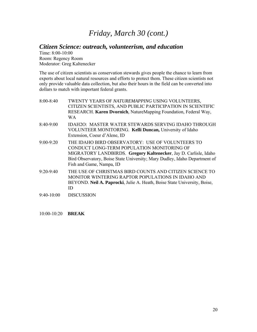### *Citizen Science: outreach, volunteerism, and education*

Time: 8:00-10:00 Room: Regency Room Moderator: Greg Kaltenecker

The use of citizen scientists as conservation stewards gives people the chance to learn from experts about local natural resources and efforts to protect them. These citizen scientists not only provide valuable data collection, but also their hours in the field can be converted into dollars to match with important federal grants.

| $8:00 - 8:40$ | TWENTY YEARS OF NATUREMAPPING USING VOLUNTEERS,<br>CITIZEN SCIENTISTS, AND PUBLIC PARTICIPATION IN SCIENTIFIC<br>RESEARCH. Karen Dvornich, NatureMapping Foundation, Federal Way,<br>WA                                                                                      |
|---------------|------------------------------------------------------------------------------------------------------------------------------------------------------------------------------------------------------------------------------------------------------------------------------|
| $8:40-9:00$   | IDAH2O: MASTER WATER STEWARDS SERVING IDAHO THROUGH<br>VOLUNTEER MONITORING. Kelli Duncan, University of Idaho<br>Extension, Coeur d'Alene, ID                                                                                                                               |
| $9:00 - 9:20$ | THE IDAHO BIRD OBSERVATORY: USE OF VOLUNTEERS TO<br>CONDUCT LONG-TERM POPULATION MONITORING OF<br>MIGRATORY LANDBIRDS. Gregory Kaltenecker, Jay D. Carlisle, Idaho<br>Bird Observatory, Boise State University; Mary Dudley, Idaho Department of<br>Fish and Game, Nampa, ID |
| $9:20-9:40$   | THE USE OF CHRISTMAS BIRD COUNTS AND CITIZEN SCIENCE TO<br>MONITOR WINTERING RAPTOR POPULATIONS IN IDAHO AND<br>BEYOND. Neil A. Paprocki, Julie A. Heath, Boise State University, Boise,<br>ID                                                                               |
| $9:40-10:00$  | <b>DISCUSSION</b>                                                                                                                                                                                                                                                            |

10:00-10:20 **BREAK**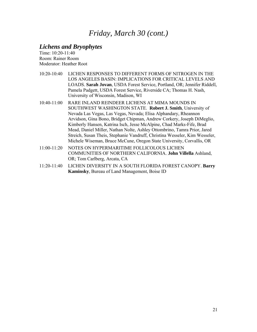### *Lichens and Bryophytes*

Time: 10:20-11:40 Room: Rainer Room Moderator: Heather Root

- 10:20-10:40 LICHEN RESPONSES TO DIFFERENT FORMS OF NITROGEN IN THE LOS ANGELES BASIN: IMPLICATIONS FOR CRITICAL LEVELS AND LOADS. **Sarah Jovan**, USDA Forest Service, Portland, OR; Jennifer Riddell, Pamela Padgett, USDA Forest Service, Riverside CA; Thomas H. Nash, University of Wisconsin, Madison, WI
- 10:40-11:00 RARE INLAND REINDEER LICHENS AT MIMA MOUNDS IN SOUTHWEST WASHINGTON STATE. **Robert J. Smith**, University of Nevada Las Vegas, Las Vegas, Nevada; Elisa Alphandary, Rheannon Arvidson, Gina Bono, Bridget Chipman, Andrew Corkery, Joseph DiMeglio, Kimberly Hansen, Katrina Isch, Jesse McAlpine, Chad Marks-Fife, Brad Mead, Daniel Miller, Nathan Nolte, Ashley Ottombrino, Tamra Prior, Jared Streich, Susan Theis, Stephanie Vandruff, Christina Wesseler, Kim Wesseler, Michele Wiseman, Bruce McCune, Oregon State University, Corvallis, OR
- 11:00-11:20 NOTES ON HYPERMARITIME FOLLICOLOUS LICHEN COMMUNITIES OF NORTHERN CALIFORNIA. **John Villella** Ashland, OR; Tom Carlberg, Arcata, CA
- 11:20-11:40 LICHEN DIVERSITY IN A SOUTH FLORIDA FOREST CANOPY. **Barry Kaminsky**, Bureau of Land Management, Boise ID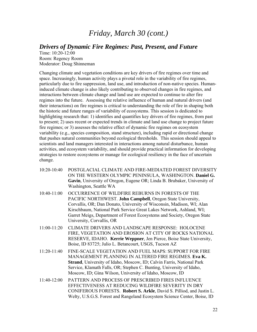### *Drivers of Dynamic Fire Regimes: Past, Present, and Future*

Time: 10:20-12:00 Room: Regency Room Moderator: Doug Shinneman

Changing climate and vegetation conditions are key drivers of fire regimes over time and space. Increasingly, human activity plays a pivotal role in the variability of fire regimes, particularly due to fire suppression, land use, and introduction of non-native species. Humaninduced climate change is also likely contributing to observed changes in fire regimes, and interactions between climate change and land use are expected to continue to alter fire regimes into the future. Assessing the relative influence of human and natural drivers (and their interactions) on fire regimes is critical to understanding the role of fire in shaping both the historic and future ranges of variability of ecosystems. This session is dedicated to highlighting research that: 1) identifies and quantifies key drivers of fire regimes, from past to present; 2) uses recent or expected trends in climate and land use change to project future fire regimes; or 3) assesses the relative effect of dynamic fire regimes on ecosystem variability (e.g., species composition, stand structure), including rapid or directional change that pushes natural communities beyond ecological thresholds. This session should appeal to scientists and land managers interested in interactions among natural disturbance, human activities, and ecosystem variability, and should provide practical information for developing strategies to restore ecosystems or manage for ecological resiliency in the face of uncertain change.

- 10:20-10:40 POSTGLACIAL CLIMATE AND FIRE-MEDIATED FOREST DIVERSITY ON THE WESTERN OLYMPIC PENINSULA, WASHINGTON. **Daniel G. Gavin**, University of Oregon, Eugene OR; Linda B. Brubaker, University of Washington, Seattle WA
- 10:40-11:00 OCCURRENCE OF WILDFIRE REBURNS IN FORESTS OF THE PACIFIC NORTHWEST. **John Campbell**, Oregon State University, Corvallis, OR; Dan Donato, University of Wisconsin, Madison, WI; Alan Kirschbaum, National Park Service Great Lakes Network, Ashland, WI; Garret Meigs, Department of Forest Ecosystems and Society, Oregon State University, Corvallis, OR
- 11:00-11:20 CLIMATE DRIVERS AND LANDSCAPE RESPONSE: HOLOCENE FIRE, VEGETATION AND EROSION AT CITY OF ROCKS NATIONAL RESERVE, IDAHO. **Kerrie Weppner**, Jen Pierce, Boise State University, Boise, ID 83725; Julio L. Betancourt, USGS, Tucson AZ
- 11:20-11:40 FINE-SCALE VEGETATION AND FUEL MAPS: SUPPORT FOR FIRE MANAGEMENT PLANNING IN ALTERED FIRE REGIMES. **Eva K. Strand**, University of Idaho, Moscow, ID; Calvin Farris, National Park Service, Klamath Falls, OR; Stephen C. Bunting, University of Idaho, Moscow, ID; Gina Wilson, University of Idaho, Moscow, ID
- 11:40-12:00 PATTERN AND PROCESS OF PRESCRIBED FIRES INFLUENCE EFFECTIVENESS AT REDUCING WILDFIRE SEVERITY IN DRY CONIFEROUS FORESTS. **Robert S. Arkle**, David S. Pilliod, and Justin L. Welty, U.S.G.S. Forest and Rangeland Ecosystem Science Center, Boise, ID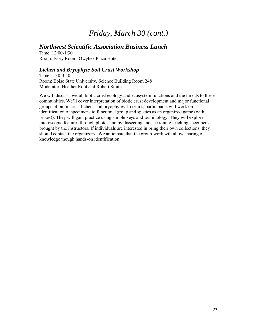### *Northwest Scientific Association Business Lunch*

Time: 12:00-1:30 Room: Ivory Room, Owyhee Plaza Hotel

#### *Lichen and Bryophyte Soil Crust Workshop*

Time: 1:30-3:50 Room: Boise State University, Science Building Room 248 Moderator: Heather Root and Robert Smith

We will discuss overall biotic crust ecology and ecosystem functions and the threats to these communities. We'll cover interpretation of biotic crust development and major functional groups of biotic crust lichens and bryophytes. In teams, participants will work on identification of specimens to functional group and species as an organized game (with prizes!). They will gain practice using simple keys and terminology. They will explore microscopic features through photos and by dissecting and sectioning teaching specimens brought by the instructors. If individuals are interested in bring their own collections, they should contact the organizers. We anticipate that the group-work will allow sharing of knowledge though hands-on identification.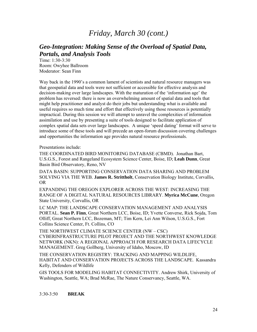### *Geo-Integration: Making Sense of the Overload of Spatial Data, Portals, and Analysis Tools*

Time: 1:30-3:30 Room: Owyhee Ballroom Moderator: Sean Finn

Way back in the 1990's a common lament of scientists and natural resource managers was that geospatial data and tools were not sufficient or accessible for effective analysis and decision-making over large landscapes. With the maturation of the 'information age' the problem has reversed: there is now an overwhelming amount of spatial data and tools that might help practitioner and analyst do their jobs but understanding what is available and useful requires so much time and effort that effectively using those resources is potentially impractical. During this session we will attempt to unravel the complexities of information assimilation and use by presenting a suite of tools designed to facilitate application of complex spatial data sets over large landscapes. A unique 'speed dating' format will serve to introduce some of these tools and will precede an open-forum discussion covering challenges and opportunities the information age provides natural resource professionals.

Presentations include:

THE COORDINATED BIRD MONITORING DATABASE (CBMD). Jonathan Bart, U.S.G.S., Forest and Rangeland Ecosystem Science Center, Boise, ID; **Leah Dunn**, Great Basin Bird Observatory, Reno, NV

DATA BASIN: SUPPORTING CONSERVATION DATA SHARING AND PROBLEM SOLVING VIA THE WEB. **James R. Strittholt**, Conservation Biology Institute, Corvallis, OR

EXPANDING THE OREGON EXPLORER ACROSS THE WEST: INCREASING THE RANGE OF A DIGITAL NATURAL RESOURCES LIBRARY. **Myrica McCune**, Oregon State University, Corvallis, OR

LC MAP: THE LANDSCAPE CONSERVATION MANAGEMENT AND ANALYSIS PORTAL. **Sean P. Finn**, Great Northern LCC, Boise, ID; Yvette Converse, Rick Sojda, Tom Olliff, Great Northern LCC, Bozeman, MT; Tim Kern, Lei Ann Wilson, U.S.G.S., Fort Collins Science Center, Ft. Collins, CO

THE NORTHWEST CLIMATE SCIENCE CENTER (NW – CSC) CYBERINFRASTRUCTURE PILOT PROJECT AND THE NORTHWEST KNOWLEDGE NETWORK (NKN): A REGIONAL APPROACH FOR RESEARCH DATA LIFECYCLE MANAGEMENT. Greg Gollberg, University of Idaho, Moscow, ID

THE CONSERVATION REGISTRY: TRACKING AND MAPPING WILDLIFE, HABITAT AND CONSERVATION PROJECTS ACROSS THE LANDSCAPE. Kassandra Kelly, Defenders of Wildlife

GIS TOOLS FOR MODELING HABITAT CONNECTIVITY. Andrew Shirk, University of Washington, Seattle, WA; Brad McRae, The Nature Conservancy, Seattle, WA.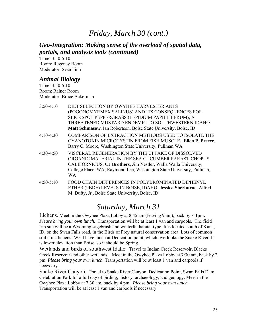### *Geo-Integration: Making sense of the overload of spatial data, portals, and analysis tools (continued)*

Time: 3:50-5:10 Room: Regency Room Moderator: Sean Finn

### *Animal Biology*

Time: 3:50-5:10 Room: Rainer Room Moderator: Bruce Ackerman

| $3:50-4:10$ | DIET SELECTION BY OWYHEE HARVESTER ANTS                                                                                                                                                                                                                  |
|-------------|----------------------------------------------------------------------------------------------------------------------------------------------------------------------------------------------------------------------------------------------------------|
|             | (POGONOMYRMEX SALINUS) AND ITS CONSEQUENCES FOR                                                                                                                                                                                                          |
|             | SLICKSPOT PEPPERGRASS (LEPIDIUM PAPILLIFERUM), A                                                                                                                                                                                                         |
|             | THREATENED MUSTARD ENDEMIC TO SOUTHWESTERN IDAHO                                                                                                                                                                                                         |
|             | Matt Schmasow, Ian Robertson, Boise State University, Boise, ID                                                                                                                                                                                          |
| $4:10-4:30$ | COMPARISON OF EXTRACTION METHODS USED TO ISOLATE THE<br>CYANOTOXIN MICROCYSTIN FROM FISH MUSCLE. Ellen P. Preece,<br>Barry C. Moore, Washington State University, Pullman WA                                                                             |
| $4:30-4:50$ | VISCERAL REGENERATION BY THE UPTAKE OF DISSOLVED<br>ORGANIC MATERIAL IN THE SEA CUCUMBER PARASTICHOPUS<br>CALIFORNICUS. CJ Brothers, Jim Nestler, Walla Walla University,<br>College Place, WA; Raymond Lee, Washington State University, Pullman,<br>WA |
| $4:50-5:10$ | FOOD CHAIN DIFFERENCES IN POLYBROMINATED DIPHENYL<br>ETHER (PBDE) LEVELS IN BOISE, IDAHO. Jessica Sherburne, Alfred<br>M. Dufty, Jr., Boise State University, Boise, ID                                                                                  |

# *Saturday, March 31*

Lichens. Meet in the Owyhee Plaza Lobby at 8:45 am (leaving 9 am), back by  $\sim 1 \text{pm}$ . *Please bring your own lunch.* Transportation will be at least 1 van and carpools. The field trip site will be a Wyoming sagebrush and winterfat habitat type. It is located south of Kuna, ID, on the Swan Falls road, in the Birds of Prey natural conservation area. Lots of common soil crust lichens! We'll have lunch at Dedication point, which overlooks the Snake River. It is lower elevation than Boise, so it should be Spring.

Wetlands and birds of southwest Idaho. Travel to Indian Creek Reservoir, Blacks Creek Reservoir and other wetlands. Meet in the Owyhee Plaza Lobby at 7:30 am, back by 2 pm. *Please bring your own lunch.* Transportation will be at least 1 van and carpools if necessary.

Snake River Canyon. Travel to Snake River Canyon, Dedication Point, Swan Falls Dam, Celebration Park for a full day of birding, history, archaeology, and geology. Meet in the Owyhee Plaza Lobby at 7:30 am, back by 4 pm. *Please bring your own lunch.*  Transportation will be at least 1 van and carpools if necessary.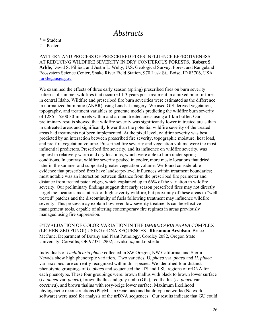## *Abstracts*

 $* = Student$ 

 $# = Poster$ 

PATTERN AND PROCESS OF PRESCRIBED FIRES INFLUENCE EFFECTIVENESS AT REDUCING WILDFIRE SEVERITY IN DRY CONIFEROUS FORESTS. **Robert S. Arkle**, David S. Pilliod, and Justin L. Welty, U.S. Geological Survey, Forest and Rangeland Ecosystem Science Center, Snake River Field Station, 970 Lusk St., Boise, ID 83706, USA. rarkle@usgs.gov

We examined the effects of three early season (spring) prescribed fires on burn severity patterns of summer wildfires that occurred 1-3 years post-treatment in a mixed pine-fir forest in central Idaho. Wildfire and prescribed fire burn severities were estimated as the difference in normalized burn ratio (ΔNBR) using Landsat imagery. We used GIS derived vegetation, topography, and treatment variables to generate models predicting the wildfire burn severity of 1286 – 5500 30-m pixels within and around treated areas using a 1 km buffer. Our preliminary results showed that wildfire severity was significantly lower in treated areas than in untreated areas and significantly lower than the potential wildfire severity of the treated areas had treatments not been implemented. At the pixel level, wildfire severity was best predicted by an interaction between prescribed fire severity, topographic moisture, heat load, and pre-fire vegetation volume. Prescribed fire severity and vegetation volume were the most influential predictors. Prescribed fire severity, and its influence on wildfire severity, was highest in relatively warm and dry locations, which were able to burn under spring conditions. In contrast, wildfire severity peaked in cooler, more mesic locations that dried later in the summer and supported greater vegetation volume. We found considerable evidence that prescribed fires have landscape-level influences within treatment boundaries; most notable was an interaction between distance from the prescribed fire perimeter and distance from treated patch edges, which explained up to 66% of the variation in wildfire severity. Our preliminary findings suggest that early season prescribed fires may not directly target the locations most at risk of high severity wildfire, but proximity of these areas to "well treated" patches and the discontinuity of fuels following treatment may influence wildfire severity. This process may explain how even low severity treatments can be effective management tools, capable of altering contemporary fire regimes in areas previously managed using fire suppression.

#\*EVALUATION OF COLOR VARIATION IN THE *UMBILICARIA PHAEA* COMPLEX (LICHENIZED FUNGI) USING nrDNA SEQUENCES. **Rheannon Arvidson**, Bruce McCune, Department of Botany and Plant Pathology, Cordley 2082, Oregon State University, Corvallis, OR 97331-2902; arvidsor@onid.orst.edu

Individuals of *Umbilicaria phaea* collected in SW Oregon, NW California, and Sierra Nevada show high phenotypic variation. Two varieties, *U. phaea* var. *phaea* and *U. phaea* var. *coccinea*, are currently recognized within this species. We identified four distinct phenotypic groupings of *U. phaea* and sequenced the ITS and LSU regions of nrDNA for each phenotype. These four groupings were: brown thallus with black to brown lower surface (*U. phaea* var. *phaea*), brown thallus and gray umbo (GU), red thallus (*U. phaea* var. *coccinea*), and brown thallus with rosy-beige lower surface. Maximum likelihood phylogenetic reconstructions (PhyML in Geneious) and haplotype networks (Network software) were used for analysis of the nrDNA sequences. Our results indicate that GU could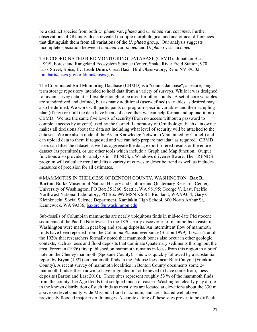be a distinct species from both *U. phaea* var. *phaea* and *U. phaea* var. *coccinea*. Further observations of GU individuals revealed multiple morphological and anatomical differences that distinguish them from all variations of the *U. phaea* group. Our analysis suggests incomplete speciation between *U. phaea* var. *phaea* and *U. phaea* var. *coccinea*.

THE COORDINATED BIRD MONITORING DATABASE (CBMD). Jonathan Bart, USGS, Forest and Rangeland Ecosystem Science Center, Snake River Field Station, 970 Lusk Street, Boise, ID; **Leah Dunn,** Great Basin Bird Observatory, Reno NV 89502; jon\_bart@usgs.gov or  $ldunn@$ usgs.gov

The Coordinated Bird Monitoring Database (CBMD) is a "counts database", a secure, longterm storage repository intended to hold data from a variety of surveys. While it was designed for avian survey data, it is flexible enough to be used for other counts. A set of core variables are standardized and defined, but as many additional (user-defined) variables as desired may also be defined. We work with participants on program-specific variables and their sampling plan (if any) or if all the data have been collected then we can help format and upload it into CBMD. We use the same five levels of security (from no access without a password to complete access by anyone) used by the Cornell Laboratory of Ornithology. Each data owner makes all decisions about the data set including what level of security will be attached to the data set. We are also a node of the Avian Knowledge Network (Maintained by Cornell) and can upload data to them if requested and we can help prepare metadata as required. CBMD users can filter the dataset as well as aggregate the data, export filtered results or the entire dataset (as permitted), or use other tools which include a Graph and Map function. Output functions also provide for analysis in TRENDS, a Windows driven software. The TRENDS program will calculate trend and fits a variety of curves to describe trend as well as includes measures of precision for all estimates.

# MAMMOTHS IN THE LOESS OF BENTON COUNTY, WASHINGTON. **Bax R. Barton**, Burke Museum of Natural History and Culture and Quaternary Research Center**,**  University of Washington, PO Box 351360, Seattle, WA 98195; George V. Last, Pacific Northwest National Laboratory, PO Box 999 MSN K6-81, Richland, WA 99354; Gary C. Kleinknecht, Social Science Department, Kamiakin High School, 600 North Arthur St., Kennewick, WA 99336; baxqrc@u.washington.edu

Sub-fossils of Columbian mammoths are nearly ubiquitous finds in mid-to-late Pleistocene sediments of the Pacific Northwest. In the 1870s early discoveries of mammoths in eastern Washington were made in peat bog and spring deposits. An intermittent flow of mammoth finds have been reported from the Columbia Plateau ever since (Barton 1999). It wasn't until the 1920s that researchers formally noted that mammoth bones also occur in other geologic contexts, such as loess and flood deposits that dominate Quaternary sediments throughout the area. Freeman (1926) first published on mammoth remains in loess from this region in a brief note on the Cheney mammoth (Spokane County). This was quickly followed by a substantial report by Bryan (1927) on mammoth finds in the Palouse loess near Burr Canyon (Franklin County). A recent survey of mammoth localities in Benton County documents some 24 mammoth finds either known to have originated in, or believed to have come from, loess deposits (Barton and Last 2010). These sites represent roughly 53 % of the mammoth finds from the county. Ice Age floods that sculpted much of eastern Washington clearly play a role in the known distribution of such finds as most sites are located at elevations about the 330 m above sea level county-wide Missoula flood maximum, and are situated well above previously flooded major river drainages. Accurate dating of these sites proves to be difficult.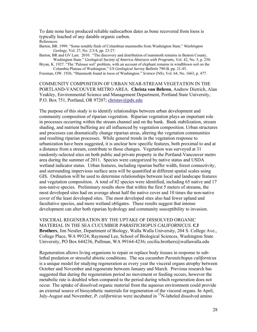To date none have produced reliable radiocarbon dates as bone recovered from loess is typically leached of any datable organic carbon. References:

- Barton, BR. 1999. "Some notable finds of Columbian mammoths from Washington State." *Washington Geology*, Vol. 27, No. 2/3/4, pp. 23-27.
- Barton, BR and GV Last. 2010. "The discovery and distribution of mammoth remains in Benton County, Washington State." *Geological Society of America Abstracts with Programs*, Vol. 42, No. 5, p. 250.

Bryan, K. 1927. "The 'Palouse soil' problem, with an account of elephant remains in windblown soil on the Columbia Plateau of Washington." *US Geological Survey Bulletin* 790-B, pp. 21-45.

Freeman, OW. 1926. "Mammoth found in loess of Washington." *Science* (NS), Vol. 64, No. 1663, p. 477.

COMMUNITY COMPOSITION OF URBAN NEAR-STREAM VEGETATION IN THE PORTLAND-VANCOUVER METRO AREA. **Christa von Behren**, Andrew Dietrich, Alan Yeakley, Environmental Science and Management Department, Portland State University, P.O. Box 751, Portland, OR 97207; christav@pdx.edu

The purpose of this study is to identify relationships between urban development and community composition of riparian vegetation. Riparian vegetation plays an important role in processes occurring within the stream channel and on the bank. Bank stabilization, stream shading, and nutrient buffering are all influenced by vegetation composition. Urban structures and processes can dramatically change riparian areas, altering the vegetation communities and resulting riparian processes. While general trends in the vegetation response to urbanization have been suggested, it is unclear how specific features, both proximal to and at a distance from a stream, contribute to those changes. Vegetation was surveyed at 31 randomly-selected sites on both public and private property in the Portland-Vancouver metro area during the summer of 2011. Species were categorized by native status and USDA wetland indicator status. Urban features, including riparian buffer width, forest connectivity, and surrounding impervious surface area will be quantified at different spatial scales using GIS. Ordination will be used to determine relationships between local and landscape features and vegetation composition. A total of 82 species were identified, including 65 native and 17 non-native species. Preliminary results show that within the first 5 meters of streams, the most developed sites had on average about half the native cover and 10 times the non-native cover of the least developed sites. The most developed sites also had fewer upland and facultative species, and more wetland obligates. These results suggest that intense development can alter both riparian hydrology and community susceptibility to invasion.

VISCERAL REGENERATION BY THE UPTAKE OF DISSOLVED ORGANIC MATERIAL IN THE SEA CUCUMBER *PARASTICHOPUS CALIFORNICUS*. **CJ Brothers**, Jim Nestler, Department of Biology, Walla Walla University, 204 S. College Ave., College Place, WA 99324; Raymond Lee, School of Biological Sciences, Washington State University, PO Box 644236, Pullman, WA 99164-4236; cecilia.brothers@wallawalla.edu

Regeneration allows living organisms to repair or replace body tissues in response to sublethal predation or stressful abiotic conditions. The sea cucumber *Parastichopus californicus*  is a unique model for studying regeneration as every year the visceral organs atrophy between October and November and regenerate between January and March. Previous research has suggested that during the regeneration period no movement or feeding occurs, however the metabolic rate is doubled when compared to the period during which regeneration does not occur. The uptake of dissolved organic material from the aqueous environment could provide an external source of biosynthetic materials for regeneration of the visceral organs. In April, July-August and November, *P. californicus* were incubated in 15N-labeled dissolved amino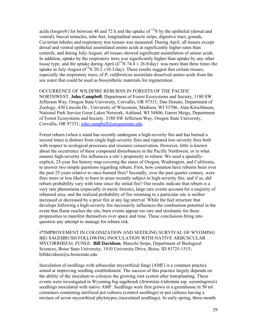acids (Isogro $\circledR$ ) for between 48 and 72 h and the uptake of <sup>15</sup>N by the epithelial (dorsal and ventral), buccal tentacles, tube feet, longitudinal muscle strips, digestive tract, gonads, Cuvierian tubules and respiratory tree tissues was measured. During April, all tissues except dorsal and ventral epithelial assimilated amino acids at significantly higher rates than controls, and during July-August, all tissues showed significant assimilation of amino acids. In addition, uptake by the respiratory trees was significantly higher than uptake by any other tissue type, and the uptake during April ( $\delta^{15}N$  74.4 ± 26.8/day) was more than three times the uptake in July-August ( $\delta^{15}N$  20.2 ±10.3/day). These results suggest that certain tissues, especially the respiratory trees, of *P. californicus* assimilate dissolved amino acids from the sea water that could be used as biosynthetic materials for regeneration.

#### OCCURRENCE OF WILDFIRE REBURNS IN FORESTS OF THE PACIFIC

NORTHWEST. **John Campbell**, Department of Forest Ecosystems and Society, 3180 SW Jefferson Way, Oregon State University, Corvallis, OR 97331; Dan Donato, Department of Zoology, 430 Lincoln Dr., University of Wisconsin, Madison, WI 53706; Alan Kirschbaum, National Park Service Great Lakes Network, Ashland, WI 54806; Garret Meigs, Department of Forest Ecosystems and Society, 3180 SW Jefferson Way, Oregon State University, Corvallis, OR 97331; john.campbell@oregonstate.edu

Forest reburn (when a stand has recently undergone a high-severity fire and has burned a second time) is distinct from single high-severity fires and repeated low-severity fires both with respect to ecological processes and resource conservation. However, little is known about the occurrence of these compound disturbances in the Pacific Northwest, or in what manner high-severity fire influences a site's propensity to reburn. We used a spatiallyexplicit, 25-year fire history map covering the states of Oregon, Washington, and California, to answer two simple questions regarding reburn. First, how common have reburns been over the past 25 years relative to once-burned fires? Secondly, over the past quarter century, were fires more or less likely to burn in areas recently subject to high-severity fire, and if so, did reburn probability vary with time since the initial fire? Our results indicate that reburn is a very rare phenomena (especially in mesic forests), large rare events account for a majority of reburned area, and the realized probability of fire returning to a particular site is neither increased or decreased by a prior fire at any lag interval. While the fuel structure that develops following a high-severity fire necessarily influences the combustion potential in the event that flame reaches the site, burn events appear too rare and stochastic for these propensities to manifest themselves over space and time. These conclusions bring into question any attempt to manage for reburn risk.

#\*IMPROVEMENT IN COLONIZATION AND SEEDLING SURVIVAL OF WYOMING BIG SAGEBRUSH FOLLOWING INOCULATION WITH NATIVE ARBUSCULAR MYCORRHIZAL FUNGI. **Bill Davidson**, Marcelo Serpe, Department of Biological Sciences, Boise State University, 1910 University Drive, Boise, ID 83725-1515; billdavidson@u.boisestate.edu

Inoculation of seedlings with arbuscular mycorrhizal fungi (AMF) is a common practice aimed at improving seedling establishment. The success of this practice largely depends on the ability of the inoculum to colonize the growing root system after transplanting. These events were investigated in Wyoming big sagebrush (*Artemisia tridentata* ssp. *wyomingensis*) seedlings inoculated with native AMF. Seedlings were first grown in a greenhouse in 50 ml containers containing sterilized pot cultures (control seedlings) or pot cultures having a mixture of seven mycorrhizal phylotypes (inoculated seedlings). In early spring, three-month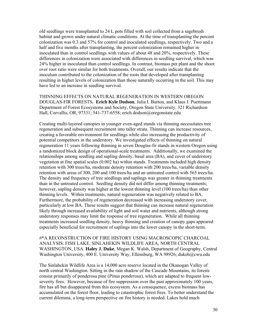old seedlings were transplanted to 24 L pots filled with soil collected from a sagebrush habitat and grown under natural climatic conditions. At the time of transplanting the percent colonization was 0.3 and 57% for control and inoculated seedlings, respectively. Two and a half and five months after transplanting, the percent colonization remained higher in inoculated than in control seedlings with values of about 48 and 20%, respectively. These differences in colonization were associated with differences in seedling survival, which was 24% higher in inoculated than control seedlings. In contrast, biomass per plant and the shoot over root ratio were similar for both treatments. Overall, our results indicate that the inoculum contributed to the colonization of the roots that developed after transplanting resulting in higher levels of colonization than those naturally occurring in the soil. This may have led to an increase in seedling survival.

THINNING EFFECTS ON NATURAL REGENERATION IN WESTERN OREGON DOUGLAS-FIR FORESTS**. Erich Kyle Dodson**, Julia I. Burton, and Klaus J. Puettmann Department of Forest Ecosystems and Society, Oregon State University, 321 Richardson Hall, Corvallis, OR, 97331; 541-737-6558; erich.dodson@oregonstate.edu

Creating multi-layered canopies in younger even-aged stands via thinning necessitates tree regeneration and subsequent recruitment into taller strata. Thinning can increase resources, creating a favorable environment for seedlings while also increasing the productivity of potential competitors in the understory. We investigated effects of thinning on natural regeneration 11 years following thinning in seven Douglas-fir stands in western Oregon using a randomized block design of operational-scale treatments. Additionally, we examined the relationships among seedling and sapling density, basal area (BA), and cover of understory vegetation at fine spatial scales (0.002 ha) within stands. Treatments included high density retention with 300 trees/ha, moderate density retention with 200 trees/ha, variable density retention with areas of 300, 200 and 100 trees/ha and an untreated control with 565 trees/ha. The density and frequency of tree seedlings and saplings was greater in thinning treatments than in the untreated control. Seedling density did not differ among thinning treatments; however, sapling density was higher at the lowest thinning level (100 trees/ha) than other thinning levels. Within treatments, natural regeneration was negatively related to BA. Furthermore, the probability of regeneration decreased with increasing understory cover, particularly at low BA. These results suggest that thinning can increase natural regeneration likely through increased availability of light and soil water and nutrients, although strong understory responses may limit the response of tree regeneration. While all thinning treatments increased seedling density, heavy thinning and creation of canopy gaps appeared especially beneficial for recruitment of saplings into the lower canopy in the short-term.

#\*A RECONSTRUCTION OF FIRE HISTORY USING MACROSCOPIC CHARCOAL ANALYSIS: FISH LAKE, SINLAHEKIN WILDLIFE AREA, NORTH CENTRAL WASHINGTON, USA. **Haley J. Duke**, Megan K. Walsh, Department of Geography, Central Washington University, 400 E. University Way, Ellensburg, WA 98926; dukeh@cwu.edu

The Sinlahekin Wildlife Area is a 14,000 acre reserve located in the Okanogan Valley of north central Washington. Sitting in the rain shadow of the Cascade Mountains, its forests consist primarily of ponderosa pine (*Pinus ponderosa*), which are adapted to frequent lowseverity fires. However, because of fire suppression over the past approximately 100 years, fire has all but disappeared from this ecosystem. As a consequence, excess biomass has accumulated on the forest floor, leading to catastrophic forest fires. To better understand the current dilemma, a long-term perspective on fire history is needed. Lakes hold much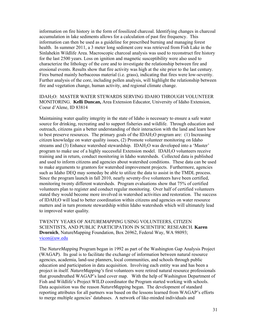information on fire history in the form of fossilized charcoal. Identifying changes in charcoal accumulation in lake sediments allows for a calculation of past fire frequency. This information can then be used as a guideline for prescribed burning and managing forest health. In summer 2011, a 3 meter long sediment core was retrieved from Fish Lake in the Sinlahekin Wildlife Area. Macroscopic charcoal analysis was used to reconstruct fire history for the last 2500 years. Loss on ignition and magnetic susceptibility were also used to characterize the lithology of the core and to investigate the relationship between fire and erosional events. Results show that fire activity was high at the site prior to the last century. Fires burned mainly herbaceous material (i.e. grass), indicating that fires were low-severity. Further analysis of the core, including pollen analysis, will highlight the relationship between fire and vegetation change, human activity, and regional climate change.

#### IDAH2O: MASTER WATER STEWARDS SERVING IDAHO THROUGH VOLUNTEER MONITORING. **Kelli Duncan,** Area Extension Educator, University of Idaho Extension, Coeur d'Alene, ID 83814

Maintaining water quality integrity in the state of Idaho is necessary to ensure a safe water source for drinking, recreating and to support fisheries and wildlife. Through education and outreach, citizens gain a better understanding of their interaction with the land and learn how to best preserve resources. The primary goals of the IDAH<sub>2</sub>O program are: (1) Increasing citizen knowledge on water quality issues, (2) Promote volunteer monitoring on Idaho streams and (3) Enhance watershed stewardship. IDAH2O was developed into a 'Master' program to make use of a highly successful Extension model. IDAH2O volunteers receive training and in return, conduct monitoring in Idaho watersheds. Collected data is published and used to inform citizens and agencies about watershed conditions. These data can be used to make arguments to grantors for watershed improvement projects. Furthermore, agencies such as Idaho DEQ may someday be able to utilize the data to assist in the TMDL process. Since the program launch in fall 2010, nearly seventy-five volunteers have been certified, monitoring twenty different watersheds. Program evaluations show that 75% of certified volunteers plan to register and conduct regular monitoring. Over half of certified volunteers stated they would become more involved in watershed activities and restoration. The success of IDAH2O will lead to better coordination within citizens and agencies on water resource matters and in turn promote stewardship within Idaho watersheds which will ultimately lead to improved water quality.

TWENTY YEARS OF *NATUREMAPPING* USING VOLUNTEERS, CITIZEN SCIENTISTS, AND PUBLIC PARTICIPATION IN SCIENTIFIC RESEARCH. **Karen Dvornich**, NatureMapping Foundation, Box 26962, Federal Way, WA 98093; vicon@uw.edu

The *NatureMapping* Program began in 1992 as part of the Washington Gap Analysis Project (WAGAP). Its goal is to facilitate the exchange of information between natural resource agencies, academia, land-use planners, local communities, and schools through public education and participation in data acquisition. Involving each entity was and has been a project in itself. *NatureMapping's* first volunteers were retired natural resource professionals that groundtruthed WAGAP's land cover map. With the help of Washington Department of Fish and Wildlife's Project WILD coordinator the Program started working with schools. Data acquisition was the reason *NatureMapping* began. The development of standard reporting attributes for all partners was based on the lessons learned from WAGAP's efforts to merge multiple agencies' databases. A network of like-minded individuals and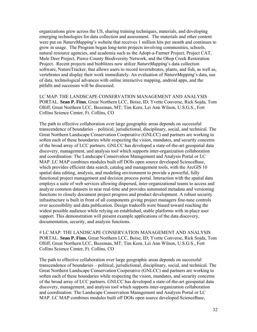organizations grew across the US, sharing training techniques, materials, and developing emerging technologies for data collection and assessment. The materials and other content were put on *NatureMapping*'s website that receives 1 million hits per month and continues to grow in usage. The Program began long-term projects involving communities, schools, natural resource agencies, and academia such as the Adopt-a-Farmer Project, Project CAT, Mule Deer Project, Pierce County Biodiversity Network, and the Ohop Creek Restoration Project. Recent projects and bioblitzes now utilize *NatureMapping*'s data collection software, NatureTracker, that allows users to record invertebrates, plants, and fish, as well as, vertebrates and display their work immediately. An evaluation of *NatureMapping*'s data, use of data, technological advances with online interactive mapping, android apps, and the pitfalls and successes will be discussed.

LC MAP: THE LANDSCAPE CONSERVATION MANAGEMENT AND ANALYSIS PORTAL. **Sean P. Finn**, Great Northern LCC, Boise, ID; Yvette Converse, Rick Sojda, Tom Olliff, Great Northern LCC, Bozeman, MT; Tim Kern, Lei Ann Wilson, U.S.G.S., Fort Collins Science Center, Ft. Collins, CO

The path to effective collaboration over large geographic areas depends on successful transcendence of boundaries – political, jurisdictional, disciplinary, social, and technical. The Great Northern Landscape Conservation Cooperative (GNLCC) and partners are working to soften each of these boundaries while respecting the vision, mandates, and security concerns of the broad array of LCC partners. GNLCC has developed a state-of-the-art geospatial data discovery, management, and analysis tool which supports inter-organization collaboration and coordination: The Landscape Conservation Management and Analysis Portal or LC MAP. LC MAP combines modules built off DOIs open source developed ScienceBase, which provides efficient data search, catalog and management tools, with the ArcGIS 10 spatial data editing, analysis, and modeling environment to provide a powerful, fully functional project management and decision process portal. Interaction with the spatial data employs a suite of web services allowing dispersed, inter-organizational teams to access and analyze common datasets in near real-time and provides automated metadata and versioning functions to closely document project progress and product development. A robust security infrastructure is built in front of all components giving project managers fine-tune controls over accessibility and data publication. Design tradeoffs were biased toward reaching the widest possible audience while relying on established, stable platforms with in-place user support. This demonstration will present example applications of the data discovery, documentation, security, and analysis functions.

# LC MAP: THE LANDSCAPE CONSERVATION MANAGEMENT AND ANALYSIS PORTAL. **Sean P. Finn**, Great Northern LCC, Boise, ID; Yvette Converse, Rick Sojda, Tom Olliff, Great Northern LCC, Bozeman, MT; Tim Kern, Lei Ann Wilson, U.S.G.S., Fort Collins Science Center, Ft. Collins, CO

The path to effective collaboration over large geographic areas depends on successful transcendence of boundaries – political, jurisdictional, disciplinary, social, and technical. The Great Northern Landscape Conservation Cooperative (GNLCC) and partners are working to soften each of these boundaries while respecting the vision, mandates, and security concerns of the broad array of LCC partners. GNLCC has developed a state-of-the-art geospatial data discovery, management, and analysis tool which supports inter-organization collaboration and coordination: The Landscape Conservation Management and Analysis Portal or LC MAP. LC MAP combines modules built off DOIs open source developed ScienceBase,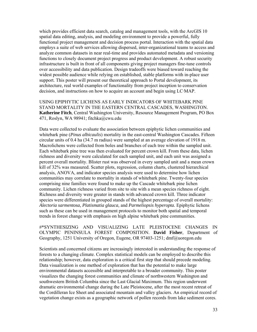which provides efficient data search, catalog and management tools, with the ArcGIS 10 spatial data editing, analysis, and modeling environment to provide a powerful, fully functional project management and decision process portal. Interaction with the spatial data employs a suite of web services allowing dispersed, inter-organizational teams to access and analyze common datasets in near real-time and provides automated metadata and versioning functions to closely document project progress and product development. A robust security infrastructure is built in front of all components giving project managers fine-tune controls over accessibility and data publication. Design tradeoffs were biased toward reaching the widest possible audience while relying on established, stable platforms with in-place user support. This poster will present our theoretical approach to Portal development, its architecture, real world examples of functionality from project inception to conservation decision, and instructions on how to acquire an account and begin using LC·MAP.

USING EPIPHYTIC LICHENS AS EARLY INDICATORS OF WHITEBARK PINE STAND MORTALITY IN THE EASTERN CENTRAL CASCADES, WASHINGTON. **Katherine Fitch**, Central Washington University, Resource Management Program, PO Box 471, Roslyn, WA 98941; fitchka@cwu.edu

Data were collected to evaluate the association between epiphytic lichen communities and whitebark pine (*Pinus albicaulis*) mortality in the east-central Washington Cascades. Fifteen circular units of 0.4 ha (34.7 m radius) were sampled at an average elevation of 1918 m. Macrolichens were collected from boles and branches of each tree within the sampled unit. Each whitebark pine tree was then evaluated for percent crown kill. From these data, lichen richness and diversity were calculated for each sampled unit, and each unit was assigned a percent overall mortality. Blister rust was observed in every sampled unit and a mean crown kill of 32% was measured. Scatter plots, regression, column charts, clustered hierarchical analysis, ANOVA, and indicator species analysis were used to determine how lichen communities may correlate to mortality in stands of whitebark pine. Twenty-four species comprising nine families were found to make up the Cascade whitebark pine lichen community. Lichen richness varied from site to site with a mean species richness of eight. Richness and diversity were greater in stands with advanced crown kill. Three indicator species were differentiated in grouped stands of the highest percentage of overall mortality: *Alectoria sarmentosa, Platismatia glauca,* and *Parmeliopsis hyperopta.* Epiphytic lichens such as these can be used in management protocols to monitor both spatial and temporal trends in forest change with emphasis on high alpine whitebark pine communities.

#\*SYNTHESIZING AND VISUALIZING LATE PLEISTOCENE CHANGES IN OLYMPIC PENINSULA FOREST COMPOSITION. **David Fisher**, Department of Geography, 1251 University of Oregon, Eugene, OR 97403-1251; dmf@uoregon.edu

Scientists and concerned citizens are increasingly interested in understanding the response of forests to a changing climate. Complex statistical models can be employed to describe this relationship; however, data exploration is a critical first step that should precede modeling. Data visualization is one method of exploration that has the potential to make large environmental datasets accessible and interpretable to a broader community. This poster visualizes the changing forest communities and climate of northwestern Washington and southwestern British Columbia since the Last Glacial Maximum. This region underwent dramatic environmental change during the Late Pleistocene, after the most recent retreat of the Cordilleran Ice Sheet and associated mountain and valley glaciers. An empirical record of vegetation change exists as a geographic network of pollen records from lake sediment cores.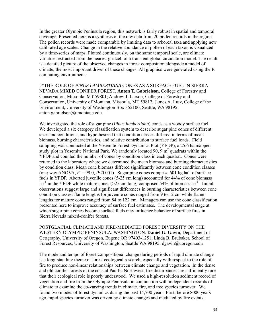In the greater Olympic Peninsula region, this network is fairly robust in spatial and temporal coverage. Presented here is a synthesis of the raw data from 20 pollen records in the region. The pollen records were made comparable by limiting data to arboreal taxa and applying new calibrated age scales. Change in the relative abundance of pollen of each taxon is visualized by a time-series of maps. Plotted continuously, on the same temporal scale, are climate variables extracted from the nearest gridcell of a transient global circulation model. The result is a detailed picture of the observed changes in forest composition alongside a model of climate, the most important driver of these changes. All graphics were generated using the R computing environment.

#\*THE ROLE OF *PINUS LAMBERTIANA* CONES AS A SURFACE FUEL IN SIERRA NEVADA MIXED CONIFER FOREST. **Anton T. Gabrielson**, College of Forestry and Conservation, Missoula, MT 59801; Andrew J. Larson, College of Forestry and Conservation, University of Montana, Missoula, MT 59812; James A. Lutz, College of the Environment, University of Washington Box 352100, Seattle, WA 98195; anton.gabrielson@umontana.edu

We investigated the role of sugar pine (*Pinus lambertiana*) cones as a woody surface fuel. We developed a six category classification system to describe sugar pine cones of different sizes and conditions, and hypothesized that condition classes differed in terms of mean biomass, burning characteristics, and relative contribution to surface fuel loads. Field sampling was conducted at the Yosemite Forest Dynamics Plot (YFDP), a 25.6 ha mapped study plot in Yosemite National Park. We randomly located 90, 9  $m<sup>2</sup>$  quadrats within the YFDP and counted the number of cones by condition class in each quadrat. Cones were returned to the laboratory where we determined the mean biomass and burning characteristics by condition class. Mean cone biomass differed significantly between cone condition classes (one-way ANOVA,  $F = 99.0$ ,  $P \le 0.001$ ). Sugar pine cones comprise 601 kg ha<sup>-1</sup> of surface fuels in YFDP. Aborted juvenile cones (5-25 cm long) accounted for 44% of cone biomass ha<sup>-1</sup> in the YFDP while mature cones ( $>$ 25 cm long) comprised 54% of biomass ha<sup>-1</sup>. Initial observations suggest large and significant differences in burning characteristics between cone condition classes: flame lengths for juvenile cones ranged from 9 to 12 cm while flame lengths for mature cones ranged from 84 to 122 cm. Managers can use the cone classification presented here to improve accuracy of surface fuel estimates. The developmental stage at which sugar pine cones become surface fuels may influence behavior of surface fires in Sierra Nevada mixed-conifer forests.

POSTGLACIAL CLIMATE AND FIRE-MEDIATED FOREST DIVERSITY ON THE WESTERN OLYMPIC PENINSULA, WASHINGTON. **Daniel G. Gavin**, Department of Geography, University of Oregon, Eugene OR 97403-1251; Linda B. Brubaker, School of Forest Resources, University of Washington, Seattle WA 98195; dgavin@uoregon.edu

The mode and tempo of forest compositional change during periods of rapid climate change is a long-standing theme of forest ecological research, especially with respect to the role of fire to produce non-linear relationships between climate change and vegetation. In the dense and old conifer forests of the coastal Pacific Northwest, fire disturbances are sufficiently rare that their ecological role is poorly understood. We used a high-resolution sediment record of vegetation and fire from the Olympic Peninsula in conjunction with independent records of climate to examine the co-varying trends in climate, fire, and tree species turnover. We found two modes of forest dynamics during the past 14,700 years. First, before 8000 years ago, rapid species turnover was driven by climate changes and mediated by fire events.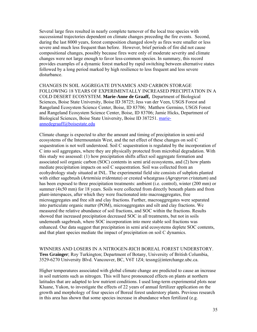Several large fires resulted in nearly complete turnover of the local tree species with successional trajectories dependent on climate changes preceding the fire events. Second, during the last 8000 years, forest composition changed slowly as fires were smaller or less severe and much less frequent than before. However, brief periods of fire did not cause compositional changes, possibly because fires were only of moderate severity and climate changes were not large enough to favor less-common species. In summary, this record provides examples of a dynamic forest marked by rapid switching between alternative states followed by a long period marked by high resilience to less frequent and less severe disturbance.

CHANGES IN SOIL AGGREGATE DYNAMICS AND CARBON STORAGE FOLLOWING 18 YEARS OF EXPERIMENTALLY INCREASED PRECIPITATION IN A COLD DESERT ECOSYSTEM. **Marie-Anne de Graaff,** Department of Biological Sciences, Boise State University, Boise ID 38725; Jess van der Veen, USGS Forest and Rangeland Ecosystem Science Center, Boise, ID 83706; Matthew Germino, USGS Forest and Rangeland Ecosystem Science Center, Boise, ID 83706; Jamie Hicks, Department of Biological Sciences, Boise State University, Boise ID 387251. marieannedegraaff@boisestate.edu

Climate change is expected to alter the amount and timing of precipitation in semi-arid ecosystems of the Intermountain West, and the net effect of these changes on soil C sequestration is not well understood. Soil C sequestration is regulated by the incorporation of C into soil aggregates, where they are physically protected from microbial degradation. With this study we assessed: (1) how precipitation shifts affect soil aggregate formation and associated soil organic carbon (SOC) contents in semi arid ecosystems, and (2) how plants mediate precipitation impacts on soil C sequestration. Soil was collected from an ecohydrology study situated at INL. The experimental field site consists of subplots planted with either sagebrush (*Artemisia tridentata*) or crested wheatgrass (*Agropyron cristatum*) and has been exposed to three precipitation treatments: ambient (i.e. control), winter (200 mm) or summer (4x50 mm) for 18 years. Soils were collected from directly beneath plants and from plant-interspaces, after which they were fractionated into macroaggregates, free microaggregates and free silt and clay fractions. Further, macroaggregates were separated into particulate organic matter (POM), microaggregates and silt and clay fractions. We measured the relative abundance of soil fractions, and SOC within the fractions. Results showed that increased precipitation decreased SOC in all treatments, but not in soils underneath sagebrush, where SOC incorporation into more stable soil fractions was enhanced. Our data suggest that precipitation in semi arid ecosystems deplete SOC contents, and that plant species mediate the impact of precipitation on soil C dynamics.

WINNERS AND LOSERS IN A NITROGEN-RICH BOREAL FOREST UNDERSTORY. **Tess Grainger**; Roy Turkington; Department of Botany, University of British Columbia, 3529-6270 University Blvd. Vancouver, BC, V6T 1Z4; tessng@interchange.ubc.ca.

Higher temperatures associated with global climate change are predicted to cause an increase in soil nutrients such as nitrogen. This will have pronounced effects on plants at northern latitudes that are adapted to low nutrient conditions. I used long-term experimental plots near Kluane, Yukon, to investigate the effects of 22 years of annual fertilizer application on the growth and morphology of four species of Boreal forest understory plants. Previous research in this area has shown that some species increase in abundance when fertilized (e.g.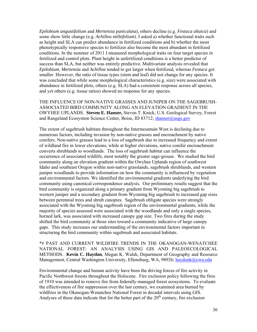*Epilobium angustifolium* and *Mertensia paniculata*), others decline (e.g. *Festuca altaica*) and some show little change (e.g. *Achillea millefolium*). I asked a) whether functional traits such as height and SLA can predict abundance in fertilized conditions and b) whether the most phenotypically responsive species to fertilizer also become the most abundant in fertilized conditions. In the summer of 2011 I measured morphological traits on four target species in fertilized and control plots. Plant height in unfertilized conditions is a better predictor of success than SLA, but neither was entirely predictive. Multivariate analysis revealed that *Epilobium, Mertensia* and *Achillea* tended to get larger when fertilized, whereas *Festuca* got smaller. However, the ratio of tissue types (stem and leaf) did not change for any species. It was concluded that while some morphological characteristics (e.g. size) were associated with abundance in fertilized plots, others (e.g. SLA) had a consistent response across all species, and yet others (e.g. tissue ratios) showed no response for any species.

THE INFLUENCE OF NON-NATIVE GRASSES AND JUNIPER ON THE SAGEBRUSH-ASSOCIATED BIRD COMMUNITY ALONG AN ELEVATION GRADIENT IN THE OWYHEE UPLANDS. **Steven E. Hanser,** Steven T. Knick, U.S. Geological Survey, Forest and Rangeland Ecosystem Science Center, Boise, ID 83712; shanser@usgs.gov

The extent of sagebrush habitats throughout the Intermountain West is declining due to numerous factors, including invasion by non-native grasses and encroachment by native conifers. Non-native grasses lead to a loss of sagebrush due to increased frequency and extent of wildland fire in lower elevations; while at higher elevations, native conifer encroachment converts shrublands to woodlands. The loss of sagebrush habitat can influence the occurrence of associated wildlife, most notably the greater sage-grouse. We studied the bird community along an elevation gradient within the Owyhee Uplands region of southwest Idaho and southeast Oregon within non-native grasslands, sagebrush shrublands, and western juniper woodlands to provide information on how the community is influenced by vegetation and environmental factors. We identified the environmental gradients underlying the bird community using canonical correspondence analysis. Our preliminary results suggest that the bird community is organized along a primary gradient from Wyoming big sagebrush to western juniper and a secondary gradient from Wyoming big sagebrush to increased gap sizes between perennial trees and shrub canopies. Sagebrush obligate species were strongly associated with the Wyoming big sagebrush region of the environmental gradients, while the majority of species assessed were associated with the woodlands and only a single species, horned lark, was associated with increased canopy gap size. Two fires during the study shifted the bird community at those sites toward a community indicative of large canopy gaps. This study increases our understanding of the environmental factors important in structuring the bird community within sagebrush and associated habitats.

\*# PAST AND CURRENT WILDFIRE TRENDS IN THE OKANOGAN-WENATCHEE NATIONAL FOREST: AN ANALYSIS USING GIS AND PALEOECOLOGICAL METHODS. **Kevin C. Haydon**, Megan K. Walsh, Department of Geography and Resource Management, Central Washington University, Ellensburg, WA, 98926; haydonk@cwu.edu

Environmental change and human activity have been the driving forces of fire activity in Pacific Northwest forests throughout the Holocene. Fire exclusion policy following the fires of 1910 was intended to remove fire from federally-managed forest ecosystems. To evaluate the effectiveness of fire suppression over the last century, we examined area burned by wildfires in the Okanogan-Wenatchee National Forest in decadal intervals using GIS. Analyses of these data indicate that for the better part of the  $20<sup>th</sup>$  century, fire exclusion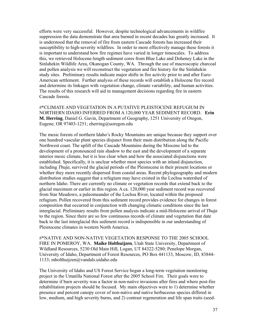efforts were very successful. However, despite technological advancements in wildfire suppression the data demonstrate that area burned in recent decades has greatly increased. It is understood that the removal of fire from eastern Cascade forests has increased their susceptibility to high-severity wildfires. In order to more effectively manage these forests it is important to understand how fire regimes have varied in longer timescales. To address this, we retrieved Holocene-length sediment cores from Blue Lake and Doheney Lake in the Sinlahekin Wildlife Area, Okanogan County, WA. Through the use of macroscopic charcoal and pollen analysis we will reconstruct the vegetation and fire history for the Sinlahekin study sites. Preliminary results indicate major shifts in fire activity prior to and after Euro-American settlement. Further analysis of these records will establish a Holocene fire record and determine its linkages with vegetation change, climate variability, and human activities. The results of this research will aid in management decisions regarding fire in eastern Cascade forests.

#\*CLIMATE AND VEGETATION IN A PUTATIVE PLEISTOCENE REFUGIUM IN NORTHERN IDAHO INFERRED FROM A 120,000 YEAR SEDIMENT RECORD. **Erin M. Herring**, Daniel G. Gavin, Department of Geography, 1251 University of Oregon, Eugene, OR 97403-1251; eherring@uoregon.edu

The mesic forests of northern Idaho's Rocky Mountains are unique because they support over one hundred vascular plant species disjunct from their main distribution along the Pacific Northwest coast. The uplift of the Cascade Mountains during the Miocene led to the development of a pronounced rain shadow to the east and the development of a separate interior mesic climate, but it is less clear when and how the associated disjunctions were established. Specifically, it is unclear whether most species with an inland disjunction, including *Thuja*, survived the glacial periods of the Pleistocene in their present locations or whether they more recently dispersed from coastal areas. Recent phylogeography and modern distribution studies suggest that a refugium may have existed in the Lochsa watershed of northern Idaho. There are currently no climate or vegetation records that extend back to the glacial maximum or earlier in this region. A ca. 120,000 year sediment record was recovered from Star Meadows, a paleomeander of the Lochsa River, located within the proposed refugium. Pollen recovered from this sediment record provides evidence for changes in forest composition that occurred in conjunction with changing climatic conditions since the last interglacial. Preliminary results from pollen analysis indicate a mid-Holocene arrival of *Thuja* to the region. Since there are so few continuous records of climate and vegetation that date back to the last interglacial this sediment record is indispensible in our understanding of Pleistocene climates in western North America.

#\*NATIVE AND NON-NATIVE VEGETATION RESPONSE TO THE 2005 SCHOOL FIRE IN POMEROY, WA. **Maike Holthuijzen**, Utah State University, Department of Wildland Resources, 5230 Old Main Hill, Logan, UT 84322-5280; Penelope Morgan, University of Idaho, Department of Forest Resources, PO Box 441133, Moscow, ID, 83844- 1133; mholthuijzen@vandals.uidaho.edu

The University of Idaho and US Forest Service began a long-term vegetation monitoring project in the Umatilla National Forest after the 2005 School Fire. Their goals were to determine if burn severity was a factor in non-native invasions after fires and where post-fire rehabilitation projects should be focused. My main objectives were to 1) determine whether presence and percent canopy cover of non-native and native herbaceous species differed in low, medium, and high severity burns, and 2) contrast regeneration and life span traits (seed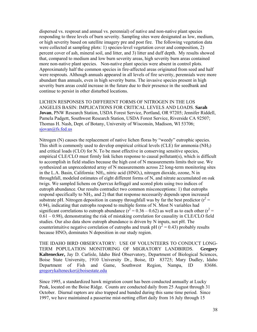dispersed vs. resprout and annual vs. perennial) of native and non-native plant species responding to three levels of burn severity. Sampling sites were designated as low, medium, or high severity based on satellite imagery pre and post fire. The following vegetation data were collected at sampling plots: 1) species-level vegetation cover and composition, 2) percent cover of ash, mineral soil, and litter, and 3) litter and duff depth. My results showed that, compared to medium and low burn severity areas, high severity burn areas contained more non-native plant species. Non-native plant species were absent in control plots. Approximately half the common species in fire-affected areas originated from seed and half were resprouts. Although annuals appeared in all levels of fire severity, perennials were more abundant than annuals, even in high severity burns. The invasive species present in high severity burn areas could increase in the future due to their presence in the seedbank and continue to persist in other disturbed locations.

LICHEN RESPONSES TO DIFFERENT FORMS OF NITROGEN IN THE LOS ANGELES BASIN: IMPLICATIONS FOR CRITICAL LEVELS AND LOADS. **Sarah Jovan**, PNW Research Station, USDA Forest Service, Portland, OR 97205; Jennifer Riddell, Pamela Padgett, Southwest Research Station, USDA Forest Service, Riverside CA 92507; Thomas H. Nash, Dept. of Botany, University of Wisconsin, Madison, WI 53706; sjovan@fs.fed.us

Nitrogen (N) causes the replacement of native lichen floras by "weedy" eutrophic species. This shift is commonly used to develop empirical critical levels (CLE) for ammonia  $(NH<sub>3</sub>)$ and critical loads (CLO) for N. To be most effective in conserving sensitive species, empirical CLE/CLO must firmly link lichen response to causal pollutant(s), which is difficult to accomplish in field studies because the high cost of N measurements limits their use. We synthesized an unprecedented array of N measurements across 22 long-term monitoring sites in the L.A. Basin, California:  $NH<sub>3</sub>$ , nitric acid (HNO<sub>3</sub>), nitrogen dioxide, ozone, N in throughfall, modeled estimates of eight different forms of N, and nitrate accumulated on oak twigs. We sampled lichens on *Quercus kelloggii* and scored plots using two indices of eutroph abundance. Our results contradict two common misconceptions: 1) that eutrophs respond specifically to  $NH_3$ , and 2) that that response necessarily depends upon increased substrate pH. Nitrogen deposition in canopy throughfall was by far the best predictor  $(r^2 =$ 0.94), indicating that eutrophs respond to multiple forms of N. Most N variables had significant correlations to eutroph abundance ( $r^2 = 0.36 - 0.62$ ) as well as to each other ( $r^2 =$ 0.61 – 0.98), demonstrating the risk of mistaking correlation for causality in CLE/CLO field studies. Our also data show eutroph abundance is driven by N inputs, not pH. The counterintuitive negative correlation of eutrophs and trunk pH ( $r^2$  = 0.43) probably results because HNO<sub>3</sub> dominates N deposition in our study region.

THE IDAHO BIRD OBSERVATORY: USE OF VOLUNTEERS TO CONDUCT LONG-TERM POPULATION MONITORING OF MIGRATORY LANDBIRDS. **Gregory Kaltenecker,** Jay D. Carlisle, Idaho Bird Observatory, Department of Biological Sciences, Boise State University, 1910 University Dr., Boise, ID 83725; Mary Dudley, Idaho Department of Fish and Game, Southwest Region, Nampa, ID 83686. gregorykaltenecker@boisestate.edu

Since 1995, a standardized hawk migration count has been conducted annually at Lucky Peak, located on the Boise Ridge. Counts are conducted daily from 25 August through 31 October. Diurnal raptors are also trapped and banded during this same time period. Since 1997, we have maintained a passerine mist-netting effort daily from 16 July through 15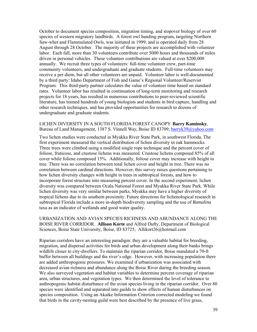October to document species composition, migration timing, and stopover biology of over 60 species of western migratory landbirds. A forest owl banding program, targeting Northern Saw-whet and Flammulated Owls, was initiated in 1999, and is operated daily from 28 August through 28 October. The majority of these projects are accomplished with volunteer labor. Each fall, more than 30 volunteers contribute over 5000 hours and thousands of miles driven in personal vehicles. These volunteer contributions are valued at over \$200,000 annually. We recruit three types of volunteers: full-time volunteer crew, part-time community volunteers, and undergraduate and graduate students. Full-time volunteers may receive a per diem, but all other volunteers are unpaid. Volunteer labor is well-documented by a third party: Idaho Department of Fish and Game's Regional Volunteer/Reservist Program. This third-party partner calculates the value of volunteer time based on standard rates. Volunteer labor has resulted in continuation of long-term monitoring and research projects for 18 years, has resulted in numerous contributions to peer-reviewed scientific literature, has trained hundreds of young biologists and students in bird capture, handling and other research techniques, and has provided opportunities for research to dozens of undergraduate and graduate students.

#### LICHEN DIVERSITY IN A SOUTH FLORIDA FOREST CANOPY. **Barry Kaminsky**, Bureau of Land Management, 1387 S. Vinnell Way, Boise ID 83709; barryk39@yahoo.com

Two lichen studies were conducted in Myakka River State Park, in southwest Florida. The first experiment measured the vertical distribution of lichen diversity in oak hammocks. Three trees were climbed using a modified single rope technique and the percent cover of foliose, fruticose, and crustose lichens was measured. Crustose lichens composed 85% of all cover while foliose composed 15%. Additionally, foliose cover may increase with height in tree. There was no correlation between total lichen cover and height in tree. There was no correlation between cardinal directions. However, this survey raises questions pertaining to how lichen diversity changes with height in trees in subtropical forests, and how to incorporate forest structure into measuring percent cover. In the second experiment, lichen diversity was compared between Ocala National Forest and Myakka River State Park. While lichen diversity was very similar between parks, Myakka may have a higher diversity of tropical lichens due to its southern proximity. Future directions for lichenological research in subtropical Florida include a more in-depth biodiversity sampling and the use of *Ramalina* taxa as an indicator of wetlands and good water quality.

#### URBANIZATION AND AVIAN SPECIES RICHNESS AND ABUNDANCE ALONG THE BOISE RIVER CORRIDOR. **Allison Korte** and Alfred Dufty, Department of Biological Sciences, Boise State University, Boise, ID 83725; Allikort26@hotmail.com

Riparian corridors have an interesting paradigm: they are a valuable habitat for breeding, migration, and dispersal activities for birds and urban development along their banks brings wildlife closer to city-dwellers. To maintain the riparian corridor, Boise mandated a 70-ft buffer between all buildings and the river's edge. However, with increasing population there are added anthropogenic pressures. We examined if urbanization was associated with decreased avian richness and abundance along the Boise River during the breeding season. We also surveyed vegetation and habitat variables to determine percent coverage of riparian area, urban structures, and vegetation types. We then determined the level of tolerance to anthropogenic habitat disturbance of the avian species living in the riparian corridor. Over 80 species were identified and separated into guilds to show effects of human disturbances on species composition. Using an Akaike Information Criterion corrected modeling we found that birds in the cavity-nesting guild were best described by the presence of live grass,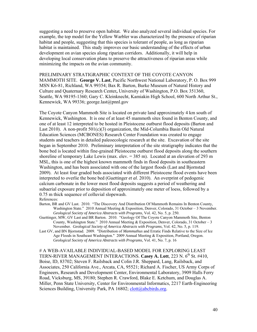suggesting a need to preserve open habitat. We also analyzed several individual species. For example, the top model for the Yellow Warbler was characterized by the presence of riparian habitat and people, suggesting that this species is tolerant of people, as long as riparian habitat is maintained. This study improves our basic understanding of the effects of urban development on avian species along riparian corridors. Additionally, it will help in developing local conservation plans to preserve the attractiveness of riparian areas while minimizing the impacts on the avian community.

PRELIMINARY STRATIGRAPHIC CONTEXT OF THE COYOTE CANYON MAMMOTH SITE. **George V. Last**, Pacific Northwest National Laboratory, P. O. Box 999 MSN K6-81, Richland, WA 99354; Bax R. Barton, Burke Museum of Natural History and Culture and Quaternary Research Center**,** University of Washington, P.O. Box 351360, Seattle, WA 98195-1360; Gary C. Kleinknecht, Kamiakin High School, 600 North Arthur St., Kennewick, WA 99336; george.last@pnnl.gov

The Coyote Canyon Mammoth Site is located on private land approximately 4 km south of Kennewick, Washington. It is one of at least 45 mammoth sites found in Benton County, and one of at least 12 interpreted to be hosted in Pleistocene outburst flood deposits (Barton and Last 2010). A non-profit  $501(c)(3)$  organization, the Mid-Columbia Basin Old Natural Education Sciences (MCBONES) Research Center Foundation was created to engage students and teachers in detailed paleoecologic research at the site. Excavation of the site began in September 2010. Preliminary interpretation of the site stratigraphy indicates that the bone bed is located within fine-grained Pleistocene outburst flood deposits along the southern shoreline of temporary Lake Lewis (max. elev.  $= 385$  m). Located at an elevation of 293 m MSL, this is one of the highest known mammoth finds in flood deposits in southeastern Washington, and has been associated with one of the largest floods (Last and Bjornstad 2009). At least four graded beds associated with different Pleistocene flood events have been interpreted to overlie the bone bed (Guettinger *et al*. 2010). An overprint of pedogenic calcium carbonate in the lower most flood deposits suggests a period of weathering and subaerial exposure prior to deposition of approximately one meter of loess, followed by a 0.75 m thick sequence of colluvial slopewash.

#### References:

- Barton, BR and GV Last. 2010. "The Discovery And Distribution Of Mammoth Remains In Benton County, Washington State." 2010 Annual Meeting & Exposition, Denver, Colorado, 31 October – 3 November. *Geological Society of America Abstracts with Programs*, Vol. 42, No. 5, p. 250.
- Guettinger, MW, GV Last and BR Barton. 2010. "Geology Of The Coyote Canyon Mammoth Site, Benton County, Washington State." 2010 Annual Meeting & Exposition, Denver, Colorado, 31 October – 3 November. *Geological Society of America Abstracts with Programs*, Vol. 42, No. 5, p. 119.
- Last GV, and BN Bjornstad. 2009. "Distribution of *Mammuthus* and Erratic Finds Relative to the Size of Ice Age Floods in Southeast Washington." 2009 Annual Meeting & Exposition, Portland, Oregon. *Geological Society of America Abstracts with Programs*, Vol. 41, No. 7, p. 16

# A WEB-AVAILABLE INDIVIDUAL-BASED MODEL FOR EXPLORING LEAST TERN-RIVER MANAGEMENT INTERACTIONS. Casey A. Lott, 223 N. 6<sup>th</sup> St. #410, Boise, ID, 83702; Steven F. Railsback and Colin J.R. Sheppard, Lang, Railsback, and Associates, 250 California Ave., Arcata, CA, 95521; Richard A. Fischer, US Army Corps of Engineers, Research and Development Center, Environmental Laboratory, 3909 Halls Ferry Road, Vicksburg, MS, 39180; Stephen R. Crawford, Blake E. Ketchum, and Douglas A. Miller, Penn State University, Center for Environmental Informatics, 2217 Earth-Engineering Sciences Building, University Park, PA 16802; clott@abcbirds.org.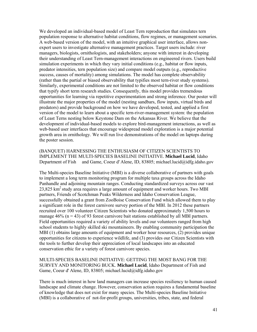We developed an individual-based model of Least Tern reproduction that simulates tern population response to alternative habitat conditions, flow regimes, or management scenarios. A web-based version of the model, with an intuitive graphical user interface, allows nonexpert users to investigate alternative management practices. Target users include: river managers, biologists, ornithologists, and stakeholders; anyone with interest in developing their understanding of Least Tern-management interactions on engineered rivers. Users build simulation experiments in which they vary initial conditions (e.g., habitat or flow inputs, predator intensities, tern population size) and compare model outputs (e.g., reproductive success, causes of mortality) among simulations. The model has complete observability (rather than the partial or biased observability that typifies most tern-river study systems). Similarly, experimental conditions are not limited to the observed habitat or flow conditions that typify short term research studies. Consequently, this model provides tremendous opportunities for learning via repetitive experimentation and strong inference. Our poster will illustrate the major properties of the model (nesting sandbars, flow inputs, virtual birds and predators) and provide background on how we have developed, tested, and applied a first version of the model to learn about a specific tern-river-management system: the population of Least Terns nesting below Keystone Dam on the Arkansas River. We believe that the development of individual-based models to explore bird-management interactions, as well as web-based user interfaces that encourage widespread model exploration is a major potential growth area in ornithology. We will run live demonstrations of the model on laptops during the poster session.

(BANQUET) HARNESSING THE ENTHUSIASM OF CITIZEN SCIENTISTS TO IMPLEMENT THE MULTI-SPECIES BASELINE INITIATIVE. **Michael Lucid**, Idaho Department of Fish and Game, Coeur d' Alene, ID, 83805; michael.lucid@idfg.idaho.gov

The Multi-species Baseline Initiative (MBI) is a diverse collaborative of partners with goals to implement a long term monitoring program for multiple taxa groups across the Idaho Panhandle and adjoining mountain ranges. Conducting standardized surveys across our vast 23,825 km<sup>2</sup> study area requires a large amount of equipment and worker hours. Two MBI partners, Friends of Scotchman Peaks Wilderness and Idaho Conservation League, successfully obtained a grant from ZooBoise Conservation Fund which allowed them to play a significant role in the forest carnivore survey portion of the MBI. In 2012 these partners recruited over 100 volunteer Citizen Scientists who donated approximately 1,500 hours to manage  $46\%$  (n = 43) of 93 forest carnivore bait stations established by all MBI partners. Field opportunities required a variety of ability levels and our volunteers ranged from high school students to highly skilled ski mountaineers. By enabling community participation the MBI (1) obtains large amounts of equipment and worker hour resources, (2) provides unique opportunities for citizens to experience wildlife, and (3) provides our Citizen Scientists with the tools to further develop their appreciation of local landscapes into an educated conservation ethic for a variety of forest carnivore species.

#### MULTI-SPECIES BASELINE INITIATIVE: GETTING THE MOST BANG FOR THE SURVEY AND MONITORING BUCK. **Michael Lucid**, Idaho Department of Fish and Game, Coeur d' Alene, ID, 83805; michael.lucid@idfg.idaho.gov

There is much interest in how land managers can increase species resiliency to human caused landscape and climate change. However, conservation action requires a fundamental baseline of knowledge that does not exist for many species. The Multi-species Baseline Initiative (MBI) is a collaborative of not-for-profit groups, universities, tribes, state, and federal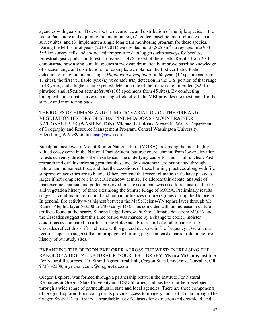agencies with goals to (1) describe the occurrence and distribution of multiple species in the Idaho Panhandle and adjoining mountain ranges, (2) collect baseline micro-climate data at survey sites, and (3) implement a single long term monitoring program for these species. During the MBI's pilot years (2010-2011) we divided our  $23,825 \text{ km}^2$  survey area into 953 5x5 km survey cells and co-located temperature data loggers with surveys for beetles, terrestrial gastropods, and forest carnivores at 476 (50%) of these cells. Results from 2010 demonstrate how a single multi-species survey can dramatically improve baseline knowledge of species range and distribution. For example, we obtained the first verifiable Idaho detection of magnum mantleslugs (*Magnipelta mycophaga*) in 68 years (17 specimens from 11 sites), the first verifiable lynx (*Lynx canadensis*) detection in the U.S. portion of that range in 18 years, and a higher than expected detection rate of the Idaho state imperiled (S2) fir pinwheel snail (*Radiodiscus abietum*) (105 specimens from 45 sites). By conducting biological and climate surveys in a single field effort, the MBI provides the most bang for the survey and monitoring buck.

THE ROLES OF HUMANS AND CLIMATIC VARIATION ON THE FIRE AND VEGETATION HISTORY OF SUBALPINE MEADOWS - MOUNT RAINIER NATIONAL PARK (WASHINGTON). **Michael L Lukens**, Megan K. Walsh, Department of Geography and Resource Management Program, Central Washington University, Ellensburg, WA 98926; lukensm@cwu.edu

Subalpine meadows of Mount Rainier National Park (MORA) are among the most highly valued ecosystems in the National Park System, but tree encroachment from lower-elevation forests currently threatens their existence. The underlying cause for this is still unclear. Past research and oral histories suggest that these meadow systems were maintained through natural and human-set fires, and that the cessations of these burning practices along with fire suppression activities are to blame. Others contend that recent climatic shifts have played a larger if not complete role in overall meadow demise. To address this debate, analysis of macroscopic charcoal and pollen preserved in lake sediments was used to reconstruct the fire and vegetation history of three sites along the Sunrise Ridge of MORA. Preliminary results suggest a combination of natural and human influences on fire regimes during the Holocene. In general, fire activity was highest between the Mt St Helens-YN tephra layer through Mt Rainer P tephra layer  $\sim$  3500 to 2400 cal yr BP). This coincides with an increase in cultural artifacts found at the nearby Sunrise Ridge Borrow Pit Site. Climatic data from MORA and the Cascades suggest that this time period was marked by a change to cooler, moister conditions as compared to earlier in the Holocene. Fire records for other parts of the Cascades reflect this shift in climate with a general decrease in fire frequency. Overall, our records appear to suggest that anthropogenic burning played at least a partial role in the fire history of our study sites.

EXPANDING THE OREGON EXPLORER ACROSS THE WEST: INCREASING THE RANGE OF A DIGITAL NATURAL RESOURCES LIBRARY. **Myrica McCune,** Institute For Natural Resources, 210 Strand Agricultural Hall, Oregon State University, Corvallis, OR 97331-2208; myrica.mccune@oregonstate.edu

Oregon Explorer was formed through a partnership between the Institute For Natural Resources at Oregon State University and OSU libraries, and has been further developed through a wide range of partnerships in state and local agencies. There are three components of Oregon Explorer. First, data portals provide access to imagery and spatial data through The Oregon Spatial Data Library, a searchable list of datasets for extraction and download, and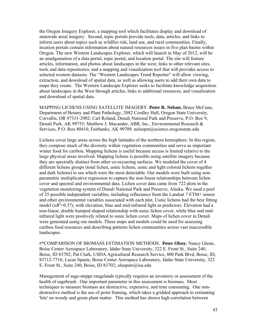the Oregon Imagery Explorer, a mapping tool which facilitates display and download of statewide areal imagery. Second, topic portals provide tools, data, articles, and links to inform users about topics such as wildfire risk, land use, and rural communities. Finally, location portals contain information about natural resources issues in five plan basins within Oregon. The new Western Landscapes Explorer, which will launch in May of 2012, will be an amalgamation of a data portal, topic portal, and location portal. The site will feature articles, information, and photos about landscapes in the west; links to other relevant sites, tools and data repositories; and a mapping and visualization tool that will provides access to selected western datasets. The "Western Landscapes Trend Reporter" will allow viewing, extraction, and download of spatial data, as well as allowing users to add their own data to maps they create. The Western Landscape Explorer seeks to facilitate knowledge acquisition about landscapes in the West through articles, links to additional resources, and visualization and download of spatial data.

MAPPING LICHENS USING SATELLITE IMAGERY. **Peter R. Nelson**, Bruce McCune, Department of Botany and Plant Pathology, 2082 Cordley Hall, Oregon State University, Corvallis, OR 97331-2902; Carl Roland, Denali National Park and Preserve, P.O. Box 9, Denali Park, AK 99755; Matthew J. Macander, ABR, Inc., Environmental Research & Services, P.O. Box 80410, Fairbanks, AK 99709. nelsopet@science.oregonstate.edu

Lichens cover large areas across the high latitudes of the northern hemisphere. In this region, they compose much of the diversity within vegetation communities and serve as important winter food for caribou. Mapping lichens is useful because access is limited relative to the large physical areas involved. Mapping lichens is possible using satellite imagery because they are spectrally distinct from other co-occurring surfaces. We modeled the cover of 4 different lichens groups (total lichen, usnic lichens, usnic and light colored lichens together and dark lichens) to see which were the most detectable. Our models were built using nonparametric multiplicative regression to capture the non-linear relationships between lichen cover and spectral and environmental data. Lichen cover data came from 722 plots in the vegetation monitoring system of Denali National Park and Preserve, Alaska. We used a pool of 25 possible independent variables, including reflectance from the Landsat 7 ETM+ sensor and other environmental variables associated with each plot. Usnic lichens had the best fitting model  $(xR^2=0.37)$ , with elevation, blue and mid-infrared light as predictors. Elevation had a non-linear, double humped shaped relationship with usnic lichen cover, while blue and midinfrared light were positively related to usnic lichen cover. Maps of lichen cover in Denali were generated using our models. These maps and models could be used for assessing caribou food resources and describing patterns lichen communities across vast inaccessible landscapes.

#\*COMPARISON OF BIOMASS ESTIMATION METHODS. **Peter Olsoy**; Nancy Glenn, Boise Center Aerospace Laboratory, Idaho State University, 322 E. Front St., Suite 240, Boise, ID 83702; Pat Clark, USDA Agricultural Research Service, 800 Park Blvd, Boise, ID, 83712-7716; Lucas Spaete, Boise Center Aerospace Laboratory, Idaho State University, 322 E. Front St., Suite 240, Boise, ID 83702; olsopete@isu.edu

Management of sage-steppe rangelands typically requires an inventory or assessment of the health of sagebrush. One important parameter in this assessment is biomass. Most techniques to measure biomass are destructive, expensive, and time consuming. One nondestructive method is the use of point framing, which takes a gridded approach to estimating 'hits' on woody and green plant matter. This method has shown high correlation between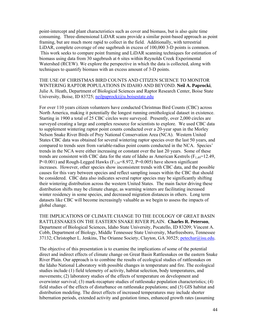point-intercept and plant characteristics such as cover and biomass, but is also quite time consuming. Three-dimensional LiDAR scans provide a similar point-based approach as point framing, but are much more rapid to collect in the field. Additionally, with terrestrial LiDAR, complete coverage of one sagebrush in excess of 100,000 3-D points is common. This work seeks to compare point framing and LiDAR scanning techniques for estimation of biomass using data from 30 sagebrush at 6 sites within Reynolds Creek Experimental Watershed (RCEW). We explore the perspective in which the data is collected, along with techniques to quantify biomass with an excess amount of 3-D points.

THE USE OF CHRISTMAS BIRD COUNTS AND CITIZEN SCIENCE TO MONITOR WINTERING RAPTOR POPULATIONS IN IDAHO AND BEYOND. **Neil A. Paprocki**, Julie A. Heath, Department of Biological Sciences and Raptor Research Center, Boise State University, Boise, ID 83725; neilpaprocki@u.boisestate.edu

For over 110 years citizen volunteers have conducted Christmas Bird Counts (CBC) across North America, making it potentially the longest running ornithological dataset in existence. Starting in 1900 a total of 25 CBC circles were surveyed. Presently, over 2,000 circles are surveyed creating a large and complex resource for scientists to explore. We used CBC data to supplement wintering raptor point counts conducted over a 20-year span in the Morley Nelson Snake River Birds of Prey National Conservation Area (NCA). Western United States CBC data was obtained for several wintering raptor species over the last 50 years, and compared to trends seen from variable-radius point counts conducted in the NCA. Species' trends in the NCA were either increasing or constant over the last 20 years. Some of these trends are consistent with CBC data for the state of Idaho as American Kestrels ( $F_{1,49}=12.49$ , P<0.001) and Rough-Legged Hawks ( $F_{1,38}$ =8.972, P=0.005) have shown significant increases. However, other species show inconsistent trends with CBC data, and the possible causes for this vary between species and reflect sampling issues within the CBC that should be considered. CBC data also indicates several raptor species may be significantly shifting their wintering distribution across the western United States. The main factor driving these distribution shifts may be climate change, as warming winters are facilitating increased winter residency in some species, and decreased migration distances in others. Long term datasets like CBC will become increasingly valuable as we begin to assess the impacts of global change.

THE IMPLICATIONS OF CLIMATE CHANGE TO THE ECOLOGY OF GREAT BASIN RATTLESNAKES ON THE EASTERN SNAKE RIVER PLAIN. **Charles R. Peterson**, Department of Biological Sciences, Idaho State University, Pocatello, ID 83209; Vincent A. Cobb, Department of Biology, Middle Tennessee State University, Murfreesboro, Tennessee 37132; Christopher L. Jenkins, The Orianne Society, Clayton, GA 30525; petechar@isu.edu.

The objective of this presentation is to examine the implications of some of the potential direct and indirect effects of climate change on Great Basin Rattlesnakes on the eastern Snake River Plain. Our approach is to combine the results of ecological studies of rattlesnakes on the Idaho National Laboratory with possible changes in temperature and fire. The ecological studies include (1) field telemetry of activity, habitat selection, body temperatures, and movements; (2) laboratory studies of the effects of temperature on development and overwinter survival; (3) mark-recapture studies of rattlesnake population characteristics; (4) field studies of the effects of disturbance on rattlesnake populations; and (5) GIS habitat and distribution modeling. The direct effects of increased temperatures may include shorter hibernation periods, extended activity and gestation times, enhanced growth rates (assuming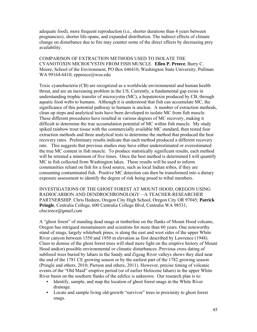adequate food), more frequent reproduction (i.e., shorter durations than 4 years between pregnancies), shorter life-spans, and expanded distribution. The indirect effects of climate change on disturbance due to fire may counter some of the direct effects by decreasing prey availability.

COMPARISON OF EXTRACTION METHODS USED TO ISOLATE THE CYANOTOXIN MICROCYSTIN FROM FISH MUSCLE. **Ellen P. Preece**, Barry C. Moore, School of the Environment, PO Box 646410, Washington State University, Pullman WA 99164-6410; eppreece@wsu.edu

Toxic cyanobacteria (CB) are recognized as a worldwide environmental and human health threat, and are an increasing problem in the US. Currently, a fundamental gap exists in understanding trophic transfer of microcystin (MC), a hepatotoxin produced by CB, through aquatic food webs to humans. Although it is understood that fish can accumulate MC, the significance of this potential pathway to humans is unclear. A number of extraction methods, clean up steps and analytical tests have been developed to isolate MC from fish muscle. These different procedures have resulted in various degrees of MC recovery, making it difficult to determine the true accumulation potential of MC within fish muscle. My study spiked rainbow trout tissue with the commercially available MC standard, then tested four extraction methods and three analytical tests to determine the method that produced the best recovery rates. Preliminary results indicate that each method produced a different recovery rate. This suggests that previous studies may have either underestimated or overestimated the true MC content in fish muscle. To produce statistically significant results, each method will be retested a minimum of five times. Once the best method is determined I will quantify MC in fish collected from Washington lakes. These results will be used to inform communities reliant on fish for a food source, such as local Indian tribes, if they are consuming contaminated fish. Positive MC detection can then be transformed into a dietary exposure assessment to identify the degree of risk being posed to tribal members.

INVESTIGATIONS OF THE GHOST FOREST AT MOUNT HOOD, OREGON USING RADIOCARBON AND DENDROCHRONOLOGY—A TEACHER-RESEARCHER PARTNERSHIP. Chris Hedeen, Oregon City High School, Oregon City OR 97045; **Patrick Pringle**, Centralia College, 600 Centralia College Blvd, Centralia WA 98531; c*hscience@gmail.com* 

A "ghost forest" of standing dead snags at timberline on the flanks of Mount Hood volcano, Oregon has intrigued mountaineers and scientists for more than 60 years. One noteworthy stand of snags, largely whitebark pines, is along the east and west sides of the upper White River canyon between 1550 and 1950 m elevation as first described by Lawrence (1948). Clues to demise of the ghost forest trees will shed more light on the eruptive history of Mount Hood and(or) possible environmental or climatic disturbances. Previous cross dating of subfossil trees buried by lahars in the Sandy and Zigzag River valleys shows they died near the end of the 1781 CE growing season or by the earliest part of the 1782 growing season (Pringle and others, 2010; Pierson and others, 2011). However, precise timing of volcanic events of the "Old Maid" eruptive period (or of earlier Holocene lahars) in the upper White River basin on the southern flanks of the edifice is unknown. Our research plan is to:

- Identify, sample, and map the location of ghost forest snags in the White River drainage.
- Locate and sample living old-growth "survivor" trees in proximity to ghost forest snags.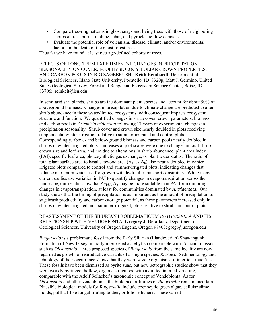- Compare tree-ring patterns in ghost snags and living trees with those of neighboring subfossil trees buried in dune, lahar, and pyroclastic flow deposits.
- Evaluate the potential role of volcanism, disease, climate, and/or environmental factors in the death of the ghost forest trees.

Thus far we have found at least two age-defined cohorts of trees.

EFFECTS OF LONG-TERM EXPERIMENTAL CHANGES IN PRECIPITATION SEASONALITY ON COVER, ECOPHYSIOLOGY, FOLIAR CROWN PROPERTIES, AND CARBON POOLS IN BIG SAGEBRUSH. **Keith Reinhardt**, Department of Biological Sciences, Idaho State University, Pocatello, ID 8320p; Matt J. Germino, United States Geological Survey, Forest and Rangeland Ecosystem Science Center, Boise, ID 83706; reinkeit@isu.edu

In semi-arid shrublands, shrubs are the dominant plant species and account for about 50% of aboveground biomass. Changes in precipitation due to climate change are predicted to alter shrub abundance in these water-limited ecosystems, with consequent impacts ecosystem structure and function. We quantified changes in shrub cover, crown parameters, biomass, and carbon pools in *Artemisia tridentata* following 17 years of experimental changes in precipitation seasonality. Shrub cover and crown size nearly doubled in plots receiving supplemental winter irrigation relative to summer-irrigated and control plots. Correspondingly, above- and below-ground biomass and carbon pools nearly doubled in shrubs in winter-irrigated plots. Increases at plot scales were due to changes in total-shrub crown size and leaf area, and not due to alterations in shrub abundance, plant area index (PAI), specific leaf area, photosynthetic gas exchange, or plant water status. The ratio of total-plant surface area to basal sapwood area  $(A_{TPSA}:A_b)$  also nearly doubled in winterirrigated plots compared to control and summer-irrigated plots, indicating changes that balance maximum water-use for growth with hydraulic-transport constraints. While many current studies use variation in PAI to quantify changes in evapotranspiration across the landscape, our results show that  $A_{TPSA}$ :  $A_b$  may be more suitable than PAI for monitoring changes in evapotranspiration, at least for communities dominated by *A. tridentata*. Our study shows that the timing of precipitation is as important as the amount of precipitation to sagebrush productivity and carbon-storage potential, as these parameters increased only in shrubs in winter-irrigated, not summer-irrigated, plots relative to shrubs in control plots.

REASSESSMENT OF THE SILURIAN PROBLEMATICUM *RUTGERSELLA* AND ITS RELATIONSHIP WITH VENDOBIONTA. **Gregory J. Retallack**, Department of Geological Sciences, University of Oregon Eugene, Oregon 97403; gregr@uoregon.edu

*Rutgersella* is a problematic fossil from the Early Silurian (Llandoverian) Shawangunk Formation of New Jersey, initially interpreted as jellyfish comparable with Ediacaran fossils such as *Dickinsonia*. Three proposed species of *Rutgersella* from the same locality are now regarded as growth or reproductive variants of a single species*, R. truexi*. Sedimentology and ichnology of their occurrence shows that they were sessile organisms of intertidal mudflats. These fossils have been dismissed as pyrite suns, but new petrographic studies show that they were weakly pyritized, hollow, organic structures, with a quilted internal structure, comparable with the Adolf Seilacher's taxonomic concept of Vendobionta. As for *Dickinsonia* and other vendobionts, the biological affinities of *Rutgersella* remain uncertain. Plausible biological models for *Rutgersella* include coenocytic green algae, cellular slime molds, puffball-like fungal fruiting bodies, or foliose lichens. These varied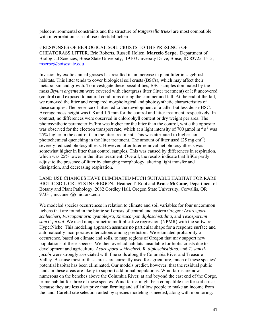paleoenvironmental constraints and the structure of *Rutgersella truexi* are most compatible with interpretation as a foliose intertidal lichen.

# RESPONSES OF BIOLOGICAL SOIL CRUSTS TO THE PRESENCE OF CHEATGRASS LITTER. Eric Roberts, Russell Holten, **Marcelo Serpe**, Department of Biological Sciences, Boise State University, 1910 University Drive, Boise, ID 83725-1515; mserpe@boisestate.edu

Invasion by exotic annual grasses has resulted in an increase in plant litter in sagebrush habitats. This litter tends to cover biological soil crusts (BSCs), which may affect their metabolism and growth. To investigate these possibilities, BSC samples dominated by the moss *Bryum argenteum* were covered with cheatgrass litter (litter treatment) or left uncovered (control) and exposed to natural conditions during the summer and fall. At the end of the fall, we removed the litter and compared morphological and photosynthetic characteristics of these samples. The presence of litter led to the development of a taller but less dense BSC. Average moss height was 0.8 and 1.5 mm for the control and litter treatment, respectively. In contrast, no differences were observed in chlorophyll content or dry weight per area. The photosynthetic parameter Fv/Fm was higher for the litter than the control, while the opposite was observed for the electron transport rate, which at a light intensity of 700  $\mu$ mol m<sup>-2</sup> s<sup>-1</sup> was 25% higher in the control than the litter treatment. This was attributed to higher nonphotochemical quenching in the litter treatment. The amount of litter used  $(25 \text{ mg cm}^{-2})$ severely reduced photosynthesis. However, after litter removal net photosynthesis was somewhat higher in litter than control samples. This was caused by differences in respiration, which was 25% lower in the litter treatment. Overall, the results indicate that BSCs partly adjust to the presence of litter by changing morphology, altering light transfer and dissipation, and decreasing respiration.

LAND USE CHANGES HAVE ELIMINATED MUCH SUITABLE HABITAT FOR RARE BIOTIC SOIL CRUSTS IN OREGON. Heather T. Root and **Bruce McCune**, Department of Botany and Plant Pathology, 2082 Cordley Hall, Oregon State University, Corvallis, OR 97331; mccuneb@onid.orst.edu

We modeled species occurrences in relation to climate and soil variables for four uncommon lichens that are found in the biotic soil crusts of central and eastern Oregon: *Acarospora schleicheri*, *Fuscopannaria cyanolepra*, *Rhizocarpon diploschistidina*, and *Texosporium sancti-jacobi*. We used nonparametric multiplicative regression (NPMR) with the software HyperNiche. This modeling approach assumes no particular shape for a response surface and automatically incorporates interactions among predictors. We estimated probability of occurrence, based on climate and soils, to map regions of Oregon that may support new populations of these species. We then overlaid habitats unsuitable for biotic crusts due to development and agriculture. *Acarospora schleicheri*, *R. diploschistidina*, and *T. sanctijacobi* were strongly associated with fine soils along the Columbia River and Treasure Valley. Because most of these areas are currently used for agriculture, much of these species' potential habitat has been eliminated. Our models predict, however, that the residual public lands in these areas are likely to support additional populations. Wind farms are now numerous on the benches above the Columbia River, at and beyond the east end of the Gorge, prime habitat for three of these species. Wind farms might be a compatible use for soil crusts because they are less disruptive than farming and still allow people to make an income from the land. Careful site selection aided by species modeling is needed, along with monitoring.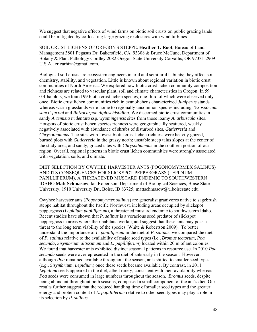We suggest that negative effects of wind farms on biotic soil crusts on public grazing lands could be mitigated by co-locating large grazing exclosures with wind turbines.

SOIL CRUST LICHENS OF OREGON'S STEPPE. **Heather T. Root**, Bureau of Land Management 3801 Pegasus Dr. Bakersfield, CA, 93308 & Bruce McCune, Department of Botany & Plant Pathology Cordley 2082 Oregon State University Corvallis, OR 97331-2909 U.S.A.; ericarhiza@gmail.com.

Biological soil crusts are ecosystem engineers in arid and semi-arid habitats; they affect soil chemistry, stability, and vegetation. Little is known about regional variation in biotic crust communities of North America. We explored how biotic crust lichen community composition and richness are related to vascular plant, soil and climate characteristics in Oregon. In 59 0.4-ha plots, we found 99 biotic crust lichen species, one-third of which were observed only once. Biotic crust lichen communities rich in cyanolichens characterized *Juniperus* stands whereas warm grasslands were home to regionally uncommon species including *Texosporium sancti-jacobi* and *Rhizocarpon diploschistidina*. We discerned biotic crust communities in sandy *Artemisia tridentata* ssp. *wyomingensis* sites from those loamy *A. arbuscula* sites. Hotspots of biotic crust lichen species richness were geographically scattered, weakly negatively associated with abundance of shrubs of disturbed sites, *Gutierrezia* and *Chrysothamnus*. The sites with lowest biotic crust lichen richness were heavily grazed, burned plots with *Gutierrezia* in the grassy north; unstable steep talus slopes at the center of the study area; and sandy, grazed sites with *Chrysothamnus* in the southern portion of our region. Overall, regional patterns in biotic crust lichen communities were strongly associated with vegetation, soils, and climate.

DIET SELECTION BY OWYHEE HARVESTER ANTS (POGONOMYRMEX SALINUS) AND ITS CONSEQUENCES FOR SLICKSPOT PEPPERGRASS (LEPIDIUM PAPILLIFERUM), A THREATENED MUSTARD ENDEMIC TO SOUTHWESTERN IDAHO **Matt Schmasow**, Ian Robertson, Department of Biological Sciences, Boise State University, 1910 University Dr., Boise, ID 83725; mattschmasow@u.boisestate.edu

Owyhee harvester ants (*Pogonomyrmex salinus*) are generalist granivores native to sagebrush steppe habitat throughout the Pacific Northwest, including areas occupied by slickspot peppergrass (*Lepidium papilliferum*), a threatened mustard endemic to southwestern Idaho. Recent studies have shown that *P. salinus* is a voracious seed predator of slickspot peppergrass in areas where their habitats overlap, and suggest that these ants may pose a threat to the long term viability of the species (White  $& Robertson\ 2009$ ). To better understand the importance of *L. papilliferum* in the diet of *P. salinus*, we compared the diet of *P. salinus* relative to the availability of major seed types (i.e., *Bromus tectorum*, *Poa secunda*, *Sisymbrium altissimum* and *L. papilliferum*) located within 20 m of ant colonies. We found that harvester ants exhibited distinct seasonal patterns in resource use. In 2010 *Poa secunda* seeds were overrepresented in the diet of ants early in the season. However, although *Poa* remained available throughout the season, ants shifted to smaller seed types (e.g., *Sisymbrium*, *Lepidium*) once these seeds became available. By contrast, in 2011 *Lepidium* seeds appeared in the diet, albeit rarely, consistent with their availability whereas *Poa* seeds were consumed in large numbers throughout the season. *Bromus* seeds, despite being abundant throughout both seasons, comprised a small component of the ant's diet. Our results further suggest that the reduced handling time of smaller seed types and the greater energy and protein content of *L. papilliferum* relative to other seed types may play a role in its selection by *P. salinus*.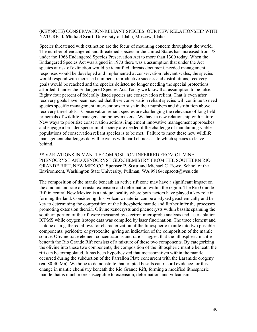#### (KEYNOTE) CONSERVATION-RELIANT SPECIES: OUR NEW RELATIONSHIP WITH NATURE. **J. Michael Scott**, University of Idaho, Moscow, Idaho.

Species threatened with extinction are the focus of mounting concern throughout the world. The number of endangered and threatened species in the United States has increased from 78 under the 1966 Endangered Species Preservation Act to more than 1300 today. When the Endangered Species Act was signed in 1973 there was a assumption that under the Act species at risk of extinction would be identified, threats document, needed management responses would be developed and implemented at conservation relevant scales, the species would respond with increased numbers, reproductive success and distributions, recovery goals would be reached and the species delisted no longer needing the special protections afforded it under the Endangered Species Act. Today we know that assumption to be false. Eighty four percent of federally listed species are conservation reliant. That is even after recovery goals have been reached that these conservation reliant species will continue to need species specific management interventions to sustain their numbers and distribution above recovery thresholds. Conservation reliant species are challenging the relevance of long held principals of wildlife managers and policy makers. We have a new relationship with nature. New ways to prioritize conservation actions, implement innovative management approaches and engage a broader spectrum of society are needed if the challenge of maintaining viable populations of conservation reliant species is to be met. Failure to meet these new wildlife management challenges do will leave us with hard choices as to which species to leave behind.

\*# VARIATIONS IN MANTLE COMPOSITION INFERRED FROM OLIVINE PHENOCRYST AND XENOCRYST GEOCHEMISTRY FROM THE SOUTHERN RIO GRANDE RIFT, NEW MEXICO. **Spenser P. Scott** and Michael C. Rowe, School of the Environment, Washington State University, Pullman, WA 99164; spscott@wsu.edu

The composition of the mantle beneath an active rift zone may have a significant impact on the amount and rate of crustal extension and deformation within the region. The Rio Grande Rift in central New Mexico is a unique locality where both factors have played a key role in forming the land. Considering this, volcanic material can be analyzed geochemically and be key to determining the composition of the lithospheric mantle and further infer the processes promoting extension therein. Olivine xenocrysts and phenocrysts within basalts spanning the southern portion of the rift were measured by electron microprobe analysis and laser ablation ICPMS while oxygen isotope data was compiled by laser fluorination. The trace element and isotope data gathered allows for characterization of the lithospheric mantle into two possible components: peridotite or pyroxenite, giving an indication of the composition of the mantle source. Olivine trace element concentrations and ratios suggest that the lithospheric mantle beneath the Rio Grande Rift consists of a mixture of these two components. By categorizing the olivine into these two components, the composition of the lithospheric mantle beneath the rift can be extrapolated. It has been hypothesized that metasomatism within the mantle occurred during the subduction of the Farrallon Plate concurrent with the Laramide orogeny (ca. 80-40 Ma). We hope to demonstrate that erupted basalts can record evidence for this change in mantle chemistry beneath the Rio Grande Rift, forming a modified lithospheric mantle that is much more susceptible to extension, deformation, and volcanism.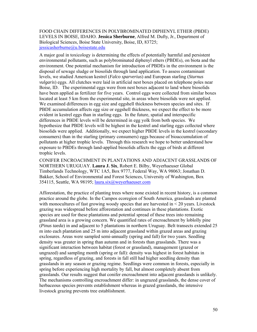#### FOOD CHAIN DIFFERENCES IN POLYBROMINATED DIPHENYL ETHER (PBDE) LEVELS IN BOISE, IDAHO. **Jessica Sherburne**, Alfred M. Dufty, Jr., Department of Biological Sciences, Boise State University, Boise, ID, 83725; jessicasherburne@u.boisestate.edu

A major goal in toxicology is determining the effects of potentially harmful and persistent environmental pollutants, such as polybrominated diphenyl ethers (PBDEs), on biota and the environment. One potential mechanism for introduction of PBDEs in the environment is the disposal of sewage sludge or biosolids through land application. To assess contaminant levels, we studied American kestrel (*Falco sparverius*) and European starling (*Sturnus vulgaris*) eggs. All clutches were laid in artificial nest boxes placed on telephone poles near Boise, ID. The experimental eggs were from nest boxes adjacent to land where biosolids have been applied as fertilizer for five years. Control eggs were collected from similar boxes located at least 5 km from the experimental site, in areas where biosolids were not applied. We examined differences in egg size and eggshell thickness between species and sites. If PBDE accumulation affects egg size or eggshell thickness, we expect the effect to be more evident in kestrel eggs than in starling eggs. In the future, spatial and interspecific differences in PBDE levels will be determined in egg yolk from both species. We hypothesize that PBDE levels will be highest in the kestrel and starling eggs collected where biosolids were applied. Additionally, we expect higher PBDE levels in the kestrel (secondary consumers) than in the starling (primary consumers) eggs because of bioaccumulation of pollutants at higher trophic levels. Through this research we hope to better understand how exposure to PBDEs through land-applied biosolids affects the eggs of birds at different trophic levels.

CONIFER ENCROACHMENT IN PLANTATIONS AND ADJACENT GRASSLANDS OF NORTHERN URUGUAY. **Laura J. Six**, Robert E. Bilby, Weyerhaeuser Global Timberlands Technology, WTC 1A5, Box 9777, Federal Way, WA 98063; Jonathan D. Bakker, School of Environmental and Forest Sciences, University of Washington, Box 354115, Seattle, WA 98195; *laura.six@weyerhaeuser.com* 

Afforestation, the practice of planting trees where none existed in recent history, is a common practice around the globe. In the Campos ecoregion of South America, grasslands are planted with monocultures of fast growing woody species that are harvested in < 20 years. Livestock grazing was widespread before afforestation and continues in these plantations. Exotic species are used for these plantations and potential spread of these trees into remaining grassland area is a growing concern. We quantified rates of encroachment by loblolly pine (*Pinus taeda*) in and adjacent to 5 plantations in northern Uruguay. Belt transects extended 25 m into each plantation and 25 m into adjacent grassland within grazed areas and grazing exclosures. Areas were sampled semi-annually (spring and fall) for two years. Seedling density was greater in spring than autumn and in forests than grasslands. There was a significant interaction between habitat (forest or grassland), management (grazed or ungrazed) and sampling month (spring or fall): density was highest in forest habitats in spring, regardless of grazing, and forests in fall still had higher seedling density than grasslands in any season or grazing regime. Seedlings were common in forests, especially in spring before experiencing high mortality by fall, but almost completely absent from grasslands. Our results suggest that conifer encroachment into adjacent grasslands is unlikely. The mechanisms controlling encroachment differ: in ungrazed grasslands, the dense cover of herbaceous species prevents establishment whereas in grazed grasslands, the intensive livestock grazing prevents tree establishment.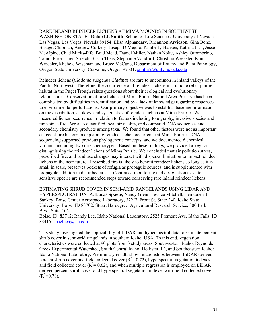RARE INLAND REINDEER LICHENS AT MIMA MOUNDS IN SOUTHWEST WASHINGTON STATE. **Robert J. Smith**, School of Life Sciences, University of Nevada Las Vegas, Las Vegas, Nevada 89154; Elisa Alphandary, Rheannon Arvidson, Gina Bono, Bridget Chipman, Andrew Corkery, Joseph DiMeglio, Kimberly Hansen, Katrina Isch, Jesse McAlpine, Chad Marks-Fife, Brad Mead, Daniel Miller, Nathan Nolte, Ashley Ottombrino, Tamra Prior, Jared Streich, Susan Theis, Stephanie Vandruff, Christina Wesseler, Kim Wesseler, Michele Wiseman and Bruce McCune, Department of Botany and Plant Pathology, Oregon State University, Corvallis, Oregon 97331; smithr2@unlv.nevada.edu

Reindeer lichens (*Cladonia* subgenus *Cladina*) are rare to uncommon in inland valleys of the Pacific Northwest. Therefore, the occurrence of 4 reindeer lichens in a unique relict prairie habitat in the Puget Trough raises questions about their ecological and evolutionary relationships. Conservation of rare lichens at Mima Prairie Natural Area Preserve has been complicated by difficulties in identification and by a lack of knowledge regarding responses to environmental perturbations. Our primary objective was to establish baseline information on the distribution, ecology, and systematics of reindeer lichens at Mima Prairie. We measured lichen occurrence in relation to factors including topography, invasive species and time since fire. We also quantified local air quality, and compared DNA sequences and secondary chemistry products among taxa. We found that other factors were not as important as recent fire history in explaining reindeer lichen occurrence at Mima Prairie. DNA sequencing supported previous phylogenetic concepts, and we documented 6 chemical variants, including two rare chemotypes. Based on these findings, we provided a key for distinguishing the reindeer lichens of Mima Prairie. We concluded that air pollution stress, prescribed fire, and land use changes may interact with dispersal limitation to impact reindeer lichens in the near future. Prescribed fire is likely to benefit reindeer lichens so long as it is small in scale, preserves pockets of refugia as propagule sources, and is supplemented with propagule addition in disturbed areas. Continued monitoring and designation as state sensitive species are recommended steps toward conserving rare inland reindeer lichens.

ESTIMATING SHRUB COVER IN SEMI-ARID RANGELANDS USING LIDAR AND HYPERSPECTRAL DATA. **Lucas Spaete**, Nancy Glenn, Jessica Mitchell, Temuulen T Sankey, Boise Center Aerospace Laboratory, 322 E. Front St, Suite 240, Idaho State University, Boise, ID 83702; Stuart Hardegree, Agricultural Research Service, 800 Park Blvd, Suite 105

Boise, ID, 83712; Randy Lee, Idaho National Laboratory, 2525 Fremont Ave, Idaho Falls, ID 83415; spaeluca@isu.edu

This study investigated the applicability of LiDAR and hyperspectral data to estimate percent shrub cover in semi-arid rangelands in southern Idaho, USA. To this end, vegetation characteristics were collected at 90 plots from 3 study areas: Southwestern Idaho: Reynolds Creek Experimental Watershed, South Central Idaho: Hollister, ID, and Southeastern Idaho: Idaho National Laboratory. Preliminary results show relationships between LiDAR derived percent shrub cover and field collected cover  $(R^2 = 0.72)$ , hyperspectral vegetation indexes and field collected cover ( $R^2$ = 0.62), and when multiple regression is employed on LiDAR derived percent shrub cover and hyperspectral vegetation indexes with field collected cover  $(R^2=0.78)$ .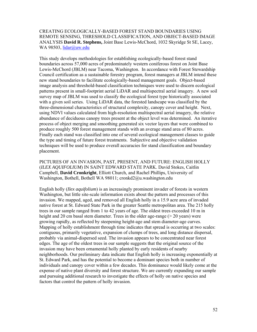#### CREATING ECOLOGICALLY-BASED FOREST STAND BOUNDARIES USING REMOTE SENSING, THRESHOLD CLASSIFICATION, AND OBJECT-BASED IMAGE ANALYSIS **David R. Stephens,** Joint Base Lewis-McChord, 1032 Skyridge St SE, Lacey, WA 98503, lidar@uw.edu

This study develops methodologies for establishing ecologically-based forest stand boundaries across 57,000 acres of predominately western coniferous forest on Joint Base Lewis-McChord (JBLM) near Tacoma, Washington. In accordance with Forest Stewardship Council certification as a sustainable forestry program, forest managers at JBLM intend these new stand boundaries to facilitate ecologically-based management goals. Object-based image analysis and threshold-based classification techniques were used to discern ecological patterns present in small-footprint aerial LiDAR and multispectral aerial imagery. A new soil survey map of JBLM was used to classify the ecological forest type historically associated with a given soil series. Using LiDAR data, the forested landscape was classified by the three-dimensional characteristics of structural complexity, canopy cover and height. Next, using NDVI values calculated from high-resolution multispectral aerial imagery, the relative abundance of deciduous canopy trees present at the object level was determined. An iterative process of object merging and smoothing generated six vector layers that were combined to produce roughly 500 forest management stands with an average stand area of 80 acres. Finally each stand was classified into one of several ecological management classes to guide the type and timing of future forest treatments. Subjective and objective validation techniques will be used to produce overall accuracies for stand classification and boundary placement.

PICTURES OF AN INVASION, PAST, PRESENT, AND FUTURE: ENGLISH HOLLY (*ILEX AQUIFOLIUM*) IN SAINT EDWARD STATE PARK. David Stokes, Caitlin Campbell, **David Cronkright**, Elliott Church, and Rachel Phillips, University of Washington, Bothell, Bothell WA 98011; cronkd2@u.washington.edu

English holly (*Ilex aquifolium*) is an increasingly prominent invader of forests in western Washington, but little site-scale information exists about the pattern and processes of this invasion. We mapped, aged, and removed all English holly in a 15.9 acre area of invaded native forest at St. Edward State Park in the greater Seattle metropolitan area. The 215 holly trees in our sample ranged from 1 to 42 years of age. The oldest trees exceeded 10 m in height and 20 cm basal stem diameter. Trees in the older age-range ( $>$  20 years) were growing rapidly, as reflected by steepening height-age and stem diameter-age curves. Mapping of holly establishment through time indicates that spread is occurring at two scales: contiguous, primarily vegetative, expansion of clumps of trees, and long distance dispersal, probably via animal-dispersed seed. The invasion appears to be concentrated near forest edges. The age of the oldest trees in our sample suggests that the original source of the invasion may have been ornamental holly planted by early residents of nearby neighborhoods. Our preliminary data indicate that English holly is increasing exponentially at St. Edward Park, and has the potential to become a dominant species both in number of individuals and canopy cover within a few decades. This dominance would likely come at the expense of native plant diversity and forest structure. We are currently expanding our sample and pursuing additional research to investigate the effects of holly on native species and factors that control the pattern of holly invasion.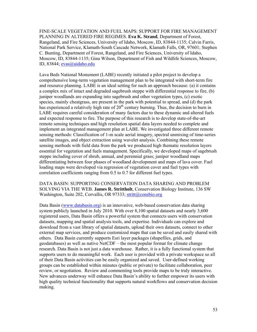FINE-SCALE VEGETATION AND FUEL MAPS: SUPPORT FOR FIRE MANAGEMENT PLANNING IN ALTERED FIRE REGIMES. **Eva K. Strand**, Department of Forest, Rangeland, and Fire Sciences, University of Idaho, Moscow, ID, 83844-1135; Calvin Farris, National Park Service, Klamath-South Cascade Network, Klamath Falls, OR, 97601; Stephen C. Bunting, Department of Forest, Rangeland, and Fire Sciences, University of Idaho, Moscow, ID, 83844-1135; Gina Wilson, Department of Fish and Wildlife Sciences, Moscow, ID, 83844; evas@uidaho.edu

Lava Beds National Monument (LABE) recently initiated a pilot project to develop a comprehensive long-term vegetation management plan to be integrated with short-term fire and resource planning. LABE is an ideal setting for such an approach because: (a) it contains a complex mix of intact and degraded sagebrush steppe with differential response to fire, (b) juniper woodlands are expanding into sagebrush and other vegetation types, (c) exotic species, mainly cheatgrass, are present in the park with potential to spread, and (d) the park has experienced a relatively high rate of 20<sup>th</sup> century burning. Thus, the decision to burn in LABE requires careful consideration of many factors due to these dynamic and altered fuels and expected response to fire. The purpose of this research is to develop state-of-the-art remote sensing techniques and high resolution spatial data layers needed to complete and implement an integrated management plan at LABE. We investigated three different remote sensing methods: Classification of 1-m scale aerial imagery, spectral unmixing of time-series satellite images, and object extraction using wavelet analysis. Combining these remote sensing methods with field data from the park we produced high thematic resolution layers essential for vegetation and fuels management. Specifically, we developed maps of sagebrush steppe including cover of shrub, annual, and perennial grass; juniper woodland maps differentiating between four phases of woodland development and maps of lava cover. Fuel loading maps were developed via regression of vegetation cover and fuel types with correlation coefficients ranging from 0.5 to 0.7 for different fuel types.

#### DATA BASIN: SUPPORTING CONSERVATION DATA SHARING AND PROBLEM SOLVING VIA THE WEB. **James R. Strittholt**, Conservation Biology Institute, 136 SW Washington, Suite 202, Corvallis, OR 97333; stritt@consbio.org

Data Basin (www.databasin.org) is an innovative, web-based conservation data sharing system publicly launched in July 2010. With over 8,100 spatial datasets and nearly 3,600 registered users, Data Basin offers a powerful system that connects users with conservation datasets, mapping and spatial analysis tools, and expertise. Individuals can explore and download from a vast library of spatial datasets, upload their own datasets, connect to other external map services, and produce customized maps that can be saved and easily shared with others. Data Basin currently supports Esri layer packages (shapefiles, grids, and geodatabases) as well as native NetCDF – the most popular format for climate change research. Data Basin is not just a data warehouse. Rather, it is a fully functional system that supports users to do meaningful work. Each user is provided with a private workspace so all of their Data Basin activities can be easily organized and saved. User-defined working groups can be established within minutes (public or private) to facilitate collaboration, peer review, or negotiation. Review and commenting tools provide maps to be truly interactive. New advances underway will enhance Data Basin's ability to further empower its users with high quality technical functionality that supports natural workflows and conservation decision making.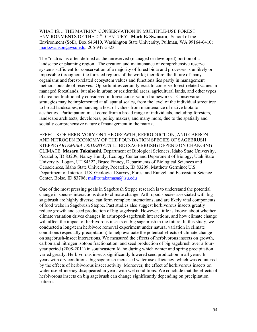WHAT IS… THE MATRIX? CONSERVATION IN MULTIPLE-USE FOREST ENVIRONMENTS OF THE 21<sup>ST</sup> CENTURY. Mark E. Swanson, School of the Environment (SoE), Box 646410, Washington State University, Pullman, WA 99164-6410; markswanson@wsu.edu, 206-947-5323

The "matrix" is often defined as the unreserved (managed or developed) portion of a landscape or planning region. The creation and maintenance of comprehensive reserve systems sufficient for conservation of a majority of forest biota and processes is unlikely or impossible throughout the forested regions of the world; therefore, the future of many organisms and forest-related ecosystem values and functions lies partly in management methods outside of reserves. Opportunities certainly exist to conserve forest-related values in managed forestlands, but also in urban or residential areas, agricultural lands, and other types of area not traditionally considered in forest conservation frameworks. Conservation strategies may be implemented at all spatial scales, from the level of the individual street tree to broad landscapes, enhancing a host of values from maintenance of native biota to aesthetics. Participation must come from a broad range of individuals, including foresters, landscape architects, developers, policy makers, and many more, due to the spatially and socially comprehensive nature of management in the matrix.

EFFECTS OF HERBIVORY ON THE GROWTH, REPRODUCTION, AND CARBON AND NITROGEN ECONOMY OF THE FOUNDATION SPECIES OF SAGEBRUSH STEPPE (*ARTEMISIA TRIDENTATA* L., BIG SAGEBRUSH) DEPEND ON CHANGING CLIMATE. **Masaru Takahashi**, Department of Biological Sciences, Idaho State University, Pocatello, ID 83209; Nancy Huntly, Ecology Center and Department of Biology, Utah State University, Logan, UT 84322; Bruce Finney, Departments of Biological Sciences and Geosciences, Idaho State University, Pocatello, ID 83209; Matthew Germino; U.S. Department of Interior, U.S. Geological Survey, Forest and Rangel and Ecosystem Science Center, Boise, ID 83706; mailto:takamasa@isu.edu

One of the most pressing goals in Sagebrush Steppe research is to understand the potential change in species interactions due to climate change. Arthropod species associated with big sagebrush are highly diverse, can form complex interactions, and are likely vital components of food webs in Sagebrush Steppe. Past studies also suggest herbivorous insects greatly reduce growth and seed production of big sagebrush. However, little is known about whether climate variation drives changes in arthropod-sagebrush interactions, and how climate change will affect the impact of herbivorous insects on big sagebrush in the future. In this study, we conducted a long-term herbivore removal experiment under natural variation in climate conditions (especially precipitation) to help evaluate the potential effects of climate change on sagebrush-insect interactions. We measured the effects of herbivorous insects on growth, carbon and nitrogen isotope fractionation, and seed production of big sagebrush over a fouryear period (2008-2011) in southeastern Idaho during which winter and spring precipitation varied greatly. Herbivorous insects significantly lowered seed production in all years. In years with dry conditions, big sagebrush increased water use efficiency, which was countered by the effects of herbivorous insect activity. Moreover, the effect of herbivorous insects on water use efficiency disappeared in years with wet conditions. We conclude that the effects of herbivorous insects on big sagebrush can change significantly depending on precipitation patterns.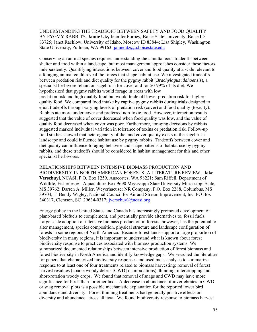UNDERSTANDING THE TRADEOFF BETWEEN SAFETY AND FOOD QUALITY BY PYGMY RABBITS**. Jamie Utz,** Jennifer Forbey**,** Boise State University, Boise ID 83725; Janet Rachlow, University of Idaho, Moscow ID 83844; Lisa Shipley, Washington State University, Pullman, WA 99163; jamieutz@u.boisestate.edu

Conserving an animal species requires understanding the simultaneous tradeoffs between shelter and food within a landscape, but most management approaches consider these factors independently. Quantifying interactions between cover and food quality at a scale relevant to a foraging animal could reveal the forces that shape habitat use. We investigated tradeoffs between predation risk and diet quality for the pygmy rabbit (*Brachylagus idahoensis*), a specialist herbivore reliant on sagebrush for cover and for 50-99% of its diet. We hypothesized that pygmy rabbits would forage in areas with low predation risk and high quality food but would trade off lower predation risk for higher quality food. We compared food intake by captive pygmy rabbits during trials designed to elicit tradeoffs through varying levels of predation risk (cover) and food quality (toxicity). Rabbits ate more under cover and preferred non-toxic food. However, interaction results suggested that the value of cover decreased when food quality was low, and the value of quality food decreased when cover was poor. Furthermore, foraging decisions by rabbits suggested marked individual variation in tolerance of toxins or predation risk. Follow-up field studies showed that heterogeneity of diet and cover quality exists in the sagebrush landscape and could influence habitat use by pygmy rabbits. Tradeoffs between cover and diet quality can influence foraging behavior and shape patterns of habitat use by pygmy rabbits, and these tradeoffs should be considered in habitat management for this and other specialist herbivores.

RELATIONSHIPS BETWEEN INTENSIVE BIOMASS PRODUCTION AND BIODIVERSITY IN NORTH AMERICAN FORESTS- A LITERATURE REVIEW. **Jake Verschuyl**, NCASI, P.O. Box 1259, Anacortes, WA 98221; Sam Riffell, Department of Wildlife, Fisheries, & Aquaculture Box 9690 Mississippi State University Mississippi State, MS 39762; Darren A. Miller, Weyerhaeuser NR Company, P.O. Box 2288, Columbus, MS 39704; T. Bently Wigley, National Council for Air and Stream Improvement, Inc. PO Box 340317, Clemson, SC 29634-0317; jverschuyl@ncasi.org

Energy policy in the United States and Canada has increasingly promoted development of plant-based biofuels to complement, and potentially provide alternatives to, fossil fuels. Large scale adoption of intensive biomass production in forests, however, has the potential to alter management, species composition, physical structure and landscape configuration of forests in some regions of North America. Because forest lands support a large proportion of biodiversity in many regions, it is important to understand what is known about forest biodiversity response to practices associated with biomass production systems. We summarized documented relationships between intensive production of forest biomass and forest biodiversity in North America and identify knowledge gaps. We searched the literature for papers that characterized biodiversity responses and used meta-analysis to summarize response to at least one of four treatments related to biomass harvesting: removal of forest harvest residues (coarse woody debris [CWD] manipulations), thinning, intercropping and short-rotation woody crops. We found that removal of snags and CWD may have more significance for birds than for other taxa. A decrease in abundance of invertebrates in CWD or snag removal plots is a possible mechanistic explanation for the reported lower bird abundance and diversity. Forest thinning treatments had generally positive effects on diversity and abundance across all taxa. We found biodiversity response to biomass harvest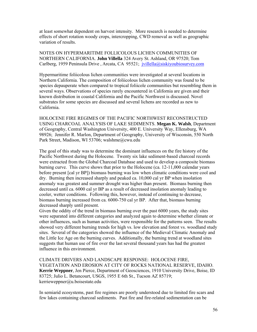at least somewhat dependent on harvest intensity. More research is needed to determine effects of short rotation woody crops, intercropping, CWD removal as well as geographic variation of results.

NOTES ON HYPERMARITIME FOLLICOLOUS LICHEN COMMUNITIES OF NORTHERN CALIFORNIA. **John Villella** 324 Avery St. Ashland, OR 97520; Tom Carlberg, 1959 Peninsula Drive, Arcata, CA 95521; jvillella@siskiyoubiosurvey.com

Hypermaritime foliicolous lichen communities were investigated at several locations in Northern California. The composition of foliicolous lichen community was found to be species depauperate when compared to tropical foliicole communities but resembling them in several ways. Observations of species rarely encountered in California are given and their known distribution in coastal California and the Pacific Northwest is discussed. Novel substrates for some species are discussed and several lichens are recorded as new to California.

HOLOCENE FIRE REGIMES OF THE PACIFIC NORTHWEST RECONSTRUCTED USING CHARCOAL ANALYSIS OF LAKE SEDIMENTS. **Megan K. Walsh**, Department of Geography, Central Washington University, 400 E. University Way, Ellensburg, WA 98926; Jennifer R. Marlon, Department of Geography, University of Wisconsin, 550 North Park Street, Madison, WI 53706; walshme@cwu.edu

The goal of this study was to determine the dominant influences on the fire history of the Pacific Northwest during the Holocene. Twenty six lake sediment-based charcoal records were extracted from the Global Charcoal Database and used to develop a composite biomass burning curve. This curve shows that prior to the Holocene (ca. 12-11,000 calendar years before present [cal yr BP]) biomass burning was low when climatic conditions were cool and dry. Burning then increased sharply and peaked ca. 10,000 cal yr BP when insolation anomaly was greatest and summer drought was higher than present. Biomass burning then decreased until ca. 6000 cal yr BP as a result of decreased insolation anomaly leading to cooler, wetter conditions. Following this, however, instead of continuing to decrease, biomass burning increased from ca. 6000-750 cal yr BP. After that, biomass burning decreased sharply until present.

Given the oddity of the trend in biomass burning over the past 6000 years, the study sites were separated into different categories and analyzed again to determine whether climate or other influences, such as human activities, were responsible for the patterns seen. The results showed very different burning trends for high vs. low elevation and forest vs. woodland study sites. Several of the categories showed the influence of the Medieval Climatic Anomaly and the Little Ice Age on the burning curves. Additionally, the burning trend at woodland sites suggests that human use of fire over the last several thousand years has had the greatest influence in this environment.

CLIMATE DRIVERS AND LANDSCAPE RESPONSE: HOLOCENE FIRE, VEGETATION AND EROSION AT CITY OF ROCKS NATIONAL RESERVE, IDAHO. **Kerrie Weppner**, Jen Pierce, Department of Geosciences, 1910 University Drive, Boise, ID 83725; Julio L. Betancourt, USGS, 1955 E 6th St., Tucson AZ 85719; kerrieweppner@u.boisestate.edu

In semiarid ecosystems, past fire regimes are poorly understood due to limited fire scars and few lakes containing charcoal sediments. Past fire and fire-related sedimentation can be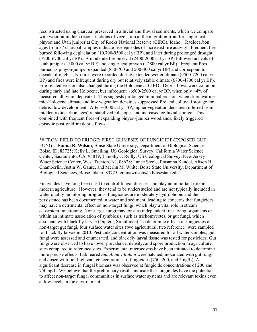reconstructed using charcoal preserved in alluvial and fluvial sediments, which we compare with woodrat midden reconstructions of vegetation at the migration front for single-leaf pinyon and Utah juniper at City of Rocks National Reserve (CIRO), Idaho. Radiocarbon ages from 37 charcoal samples indicate five episodes of increased fire activity. Frequent fires burned following deglaciation (10,700-9500 cal yr BP), and later during prolonged drought (7200-6700 cal yr BP). A moderate fire interval (2400-2000 cal yr BP) followed arrivals of Utah juniper ( $\sim$ 3800 cal yr BP) and single-leaf pinyon ( $\sim$ 2800 cal yr BP). Frequent fires burned as pinyon-juniper expanded (850-700 and 500-400 cal yr BP) and correspond to decadal droughts. No fires were recorded during extended wetter climate (9500-7200 cal yr BP) and fires were infrequent during dry but relatively stable climate (6700-4700 cal yr BP). Fire-related erosion also changed during the Holocene at CIRO. Debris flows were common during early and late Holocene, but infrequent  $\sim 6500-2500$  cal yr BP, when only  $\sim 4\%$  of measured alluvium deposited. This suggests prolonged minimal erosion, when drier, warmer mid-Holocene climate and low vegetation densities suppressed fire and colluvial storage for debris flow development. After ~4000 cal yr BP, higher vegetation densities (inferred from midden radiocarbon ages) re-stabilized hillslopes and increased colluvial storage. This, combined with frequent fires of expanding pinyon-juniper woodlands, likely triggered episodic post-wildfire debris flows.

\*# FROM FIELD TO FRIDGE: FIRST GLIMPSES OF FUNGICIDE-EXPOSED GUT FUNGI. **Emma R. Wilson**, Boise State University, Department of Biological Sciences, Boise, ID, 83725; Kelly L. Smalling, US Geological Survey, California Water Science Center, Sacramento, CA, 95819; Timothy J. Reilly, US Geological Survey, New Jersey Water Science Center, West Trenton, NJ, 08628; Lance Steele, Prasanna Kandel, Alison B. Chamberlin, Justin W. Gause, and Merlin M. White, Boise State University, Department of Biological Sciences, Boise, Idaho, 83725; emmawilson@u.boisestate.edu

Fungicides have long been used to control fungal diseases and play an important role in modern agriculture. However, they tend to be understudied and are not typically included in water quality monitoring programs. Fungicides are moderately hydrophobic and their persistence has been documented in water and sediment, leading to concerns that fungicides may have a detrimental effect on non-target fungi, which play a vital role in stream ecosystem functioning. Non-target fungi may exist as independent free-living organisms or within an intimate association of symbiosis, such as trichomycetes, or gut fungi, which associate with black fly larvae (Diptera, Simuliidae). To determine effects of fungicides on non-target gut fungi, four surface water sites (two agricultural, two reference) were sampled for black fly larvae in 2010. Pesticide concentration was measured for all water samples, gut fungi were assessed and enumerated, and black fly larval tissue was tested for pesticides. Gut fungi were observed to have lower prevalence, density, and spore production in agriculture sites compared to reference sites. Experimental microcosms have been initiated to determine more precise effects. Lab reared *Simulium vittatum* were hatched, inoculated with gut fungi and dosed with field-relevant concentrations of fungicides (750, 200, and 5 ng/L). A significant decrease in fungal biomass was observed at fungicide concentrations of 200 and 750 ng/L. We believe that the preliminary results indicate that fungicides have the potential to affect non-target fungal communities in surface water systems and are relevant toxins even at low levels in the environment.